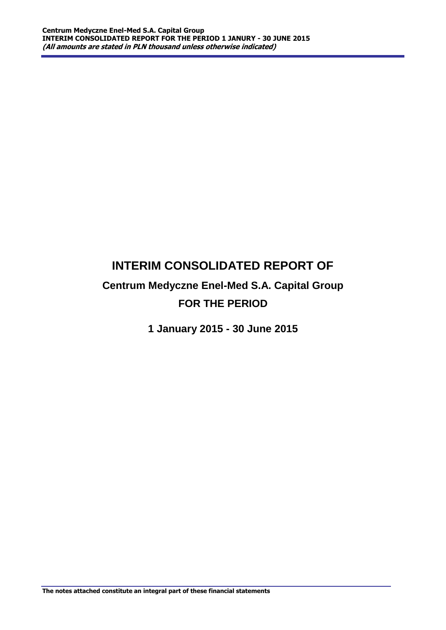# **INTERIM CONSOLIDATED REPORT OF**

# **Centrum Medyczne Enel-Med S.A. Capital Group FOR THE PERIOD**

**1 January 2015 - 30 June 2015**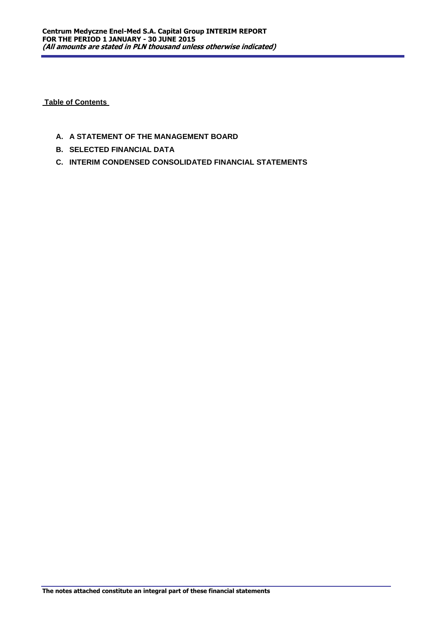**Table of Contents** 

- **A. A STATEMENT OF THE MANAGEMENT BOARD**
- **B. SELECTED FINANCIAL DATA**
- **C. INTERIM CONDENSED CONSOLIDATED FINANCIAL STATEMENTS**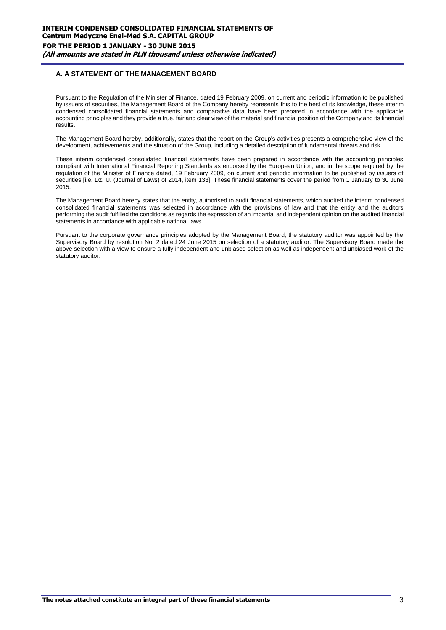# **A. A STATEMENT OF THE MANAGEMENT BOARD**

Pursuant to the Regulation of the Minister of Finance, dated 19 February 2009, on current and periodic information to be published by issuers of securities, the Management Board of the Company hereby represents this to the best of its knowledge, these interim condensed consolidated financial statements and comparative data have been prepared in accordance with the applicable accounting principles and they provide a true, fair and clear view of the material and financial position of the Company and its financial results.

The Management Board hereby, additionally, states that the report on the Group's activities presents a comprehensive view of the development, achievements and the situation of the Group, including a detailed description of fundamental threats and risk.

These interim condensed consolidated financial statements have been prepared in accordance with the accounting principles compliant with International Financial Reporting Standards as endorsed by the European Union, and in the scope required by the regulation of the Minister of Finance dated, 19 February 2009, on current and periodic information to be published by issuers of securities [i.e. Dz. U. (Journal of Laws) of 2014, item 133]. These financial statements cover the period from 1 January to 30 June 2015.

The Management Board hereby states that the entity, authorised to audit financial statements, which audited the interim condensed consolidated financial statements was selected in accordance with the provisions of law and that the entity and the auditors performing the audit fulfilled the conditions as regards the expression of an impartial and independent opinion on the audited financial statements in accordance with applicable national laws.

Pursuant to the corporate governance principles adopted by the Management Board, the statutory auditor was appointed by the Supervisory Board by resolution No. 2 dated 24 June 2015 on selection of a statutory auditor. The Supervisory Board made the above selection with a view to ensure a fully independent and unbiased selection as well as independent and unbiased work of the statutory auditor.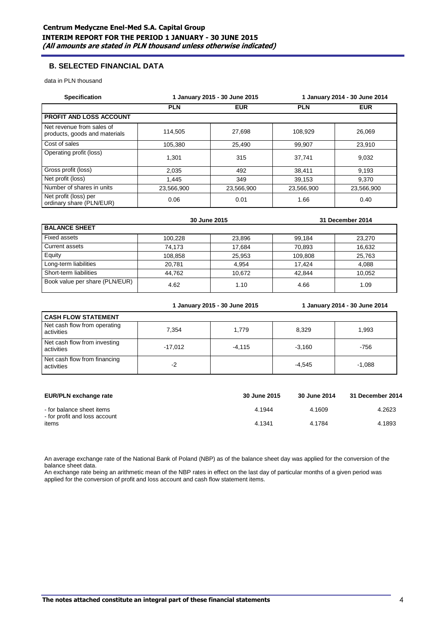# **B. SELECTED FINANCIAL DATA**

data in PLN thousand

| <b>Specification</b>                                       |            | 1 January 2015 - 30 June 2015 |            | 1 January 2014 - 30 June 2014<br><b>EUR</b><br>26,069<br>23.910<br>9,032<br>9,193<br>9.370<br>23,566,900<br>0.40 |
|------------------------------------------------------------|------------|-------------------------------|------------|------------------------------------------------------------------------------------------------------------------|
|                                                            | <b>PLN</b> | <b>EUR</b>                    | <b>PLN</b> |                                                                                                                  |
| <b>PROFIT AND LOSS ACCOUNT</b>                             |            |                               |            |                                                                                                                  |
| Net revenue from sales of<br>products, goods and materials | 114.505    | 27.698                        | 108.929    |                                                                                                                  |
| Cost of sales                                              | 105.380    | 25.490                        | 99.907     |                                                                                                                  |
| Operating profit (loss)                                    | 1.301      | 315                           | 37.741     |                                                                                                                  |
| Gross profit (loss)                                        | 2,035      | 492                           | 38,411     |                                                                                                                  |
| Net profit (loss)                                          | 1.445      | 349                           | 39.153     |                                                                                                                  |
| Number of shares in units                                  | 23,566,900 | 23,566,900                    | 23,566,900 |                                                                                                                  |
| Net profit (loss) per<br>ordinary share (PLN/EUR)          | 0.06       | 0.01                          | 1.66       |                                                                                                                  |

|                                |         | 30 June 2015 |         | 31 December 2014 |
|--------------------------------|---------|--------------|---------|------------------|
| <b>BALANCE SHEET</b>           |         |              |         |                  |
| Fixed assets                   | 100.228 | 23.896       | 99.184  | 23.270           |
| Current assets                 | 74.173  | 17.684       | 70.893  | 16.632           |
| <b>Equity</b>                  | 108.858 | 25,953       | 109,808 | 25.763           |
| Long-term liabilities          | 20,781  | 4,954        | 17.424  | 4.088            |
| Short-term liabilities         | 44.762  | 10.672       | 42.844  | 10.052           |
| Book value per share (PLN/EUR) | 4.62    | 1.10         | 4.66    | 1.09             |

**1 January 2015 - 30 June 2015 1 January 2014 - 30 June 2014**

| <b>CASH FLOW STATEMENT</b>                 |           |          |          |          |
|--------------------------------------------|-----------|----------|----------|----------|
| Net cash flow from operating<br>activities | 7.354     | 1.779    | 8,329    | 1.993    |
| Net cash flow from investing<br>activities | $-17.012$ | $-4.115$ | $-3.160$ | $-756$   |
| Net cash flow from financing<br>activities | -2        |          | $-4.545$ | $-1.088$ |

| EUR/PLN exchange rate                                      | 30 June 2015 | 30 June 2014 | 31 December 2014 |
|------------------------------------------------------------|--------------|--------------|------------------|
| - for balance sheet items<br>- for profit and loss account | 4.1944       | 4.1609       | 4.2623           |
| items                                                      | 4.1341       | 4.1784       | 4.1893           |

An average exchange rate of the National Bank of Poland (NBP) as of the balance sheet day was applied for the conversion of the balance sheet data.

An exchange rate being an arithmetic mean of the NBP rates in effect on the last day of particular months of a given period was applied for the conversion of profit and loss account and cash flow statement items.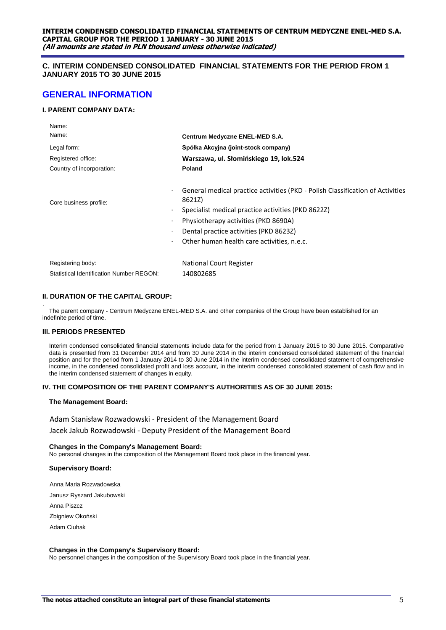# **C. INTERIM CONDENSED CONSOLIDATED FINANCIAL STATEMENTS FOR THE PERIOD FROM 1 JANUARY 2015 TO 30 JUNE 2015**

# **GENERAL INFORMATION**

# **I. PARENT COMPANY DATA:**

| Name:                                    |                                                                                                                                                                                                                                                                                |
|------------------------------------------|--------------------------------------------------------------------------------------------------------------------------------------------------------------------------------------------------------------------------------------------------------------------------------|
| Name:                                    | Centrum Medyczne ENEL-MED S.A.                                                                                                                                                                                                                                                 |
| Legal form:                              | Spółka Akcyjna (joint-stock company)                                                                                                                                                                                                                                           |
| Registered office:                       | Warszawa, ul. Słomińskiego 19, lok.524                                                                                                                                                                                                                                         |
| Country of incorporation:                | Poland                                                                                                                                                                                                                                                                         |
| Core business profile:<br>$\blacksquare$ | General medical practice activities (PKD - Polish Classification of Activities<br>8621Z)<br>Specialist medical practice activities (PKD 8622Z)<br>Physiotherapy activities (PKD 8690A)<br>Dental practice activities (PKD 8623Z)<br>Other human health care activities, n.e.c. |
| Registering body:                        | National Court Register                                                                                                                                                                                                                                                        |
| Statistical Identification Number REGON: | 140802685                                                                                                                                                                                                                                                                      |

# **II. DURATION OF THE CAPITAL GROUP:**

. The parent company - Centrum Medyczne ENEL-MED S.A. and other companies of the Group have been established for an indefinite period of time.

# **III. PERIODS PRESENTED**

Interim condensed consolidated financial statements include data for the period from 1 January 2015 to 30 June 2015. Comparative data is presented from 31 December 2014 and from 30 June 2014 in the interim condensed consolidated statement of the financial position and for the period from 1 January 2014 to 30 June 2014 in the interim condensed consolidated statement of comprehensive income, in the condensed consolidated profit and loss account, in the interim condensed consolidated statement of cash flow and in the interim condensed statement of changes in equity.

## **IV. THE COMPOSITION OF THE PARENT COMPANY'S AUTHORITIES AS OF 30 JUNE 2015:**

#### **The Management Board:**

Adam Stanisław Rozwadowski - President of the Management Board

Jacek Jakub Rozwadowski - Deputy President of the Management Board

**Changes in the Company's Management Board:** No personal changes in the composition of the Management Board took place in the financial year.

# **Supervisory Board:**

Anna Maria Rozwadowska

Janusz Ryszard Jakubowski

Anna Piszcz

Zbigniew Okoński

Adam Ciuhak

#### **Changes in the Company's Supervisory Board:**

No personnel changes in the composition of the Supervisory Board took place in the financial year.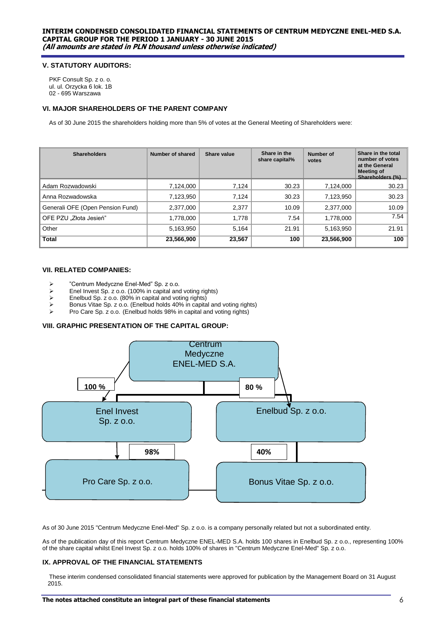## **V. STATUTORY AUDITORS:**

PKF Consult Sp. z o. o. ul. ul. Orzycka 6 lok. 1B 02 - 695 Warszawa

# **VI. MAJOR SHAREHOLDERS OF THE PARENT COMPANY**

As of 30 June 2015 the shareholders holding more than 5% of votes at the General Meeting of Shareholders were:

| <b>Shareholders</b>              | Number of shared | Share value | Share in the<br>share capital% | Number of<br>votes | Share in the total<br>number of votes<br>at the General<br><b>Meeting of</b><br>Shareholders (%) |
|----------------------------------|------------------|-------------|--------------------------------|--------------------|--------------------------------------------------------------------------------------------------|
| Adam Rozwadowski                 | 7,124,000        | 7,124       | 30.23                          | 7,124,000          | 30.23                                                                                            |
| Anna Rozwadowska                 | 7,123,950        | 7,124       | 30.23                          | 7,123,950          | 30.23                                                                                            |
| Generali OFE (Open Pension Fund) | 2,377,000        | 2,377       | 10.09                          | 2,377,000          | 10.09                                                                                            |
| OFE PZU "Złota Jesień"           | 1,778,000        | 1,778       | 7.54                           | 1,778,000          | 7.54                                                                                             |
| Other                            | 5,163,950        | 5,164       | 21.91                          | 5,163,950          | 21.91                                                                                            |
| <b>Total</b>                     | 23,566,900       | 23,567      | 100                            | 23,566,900         | 100                                                                                              |

## **VII. RELATED COMPANIES:**

- > "Centrum Medyczne Enel-Med" Sp. z o.o.<br>> Enel Invest Sp. z o.o. (100% in capital and
- Enel Invest Sp. z o.o. (100% in capital and voting rights)<br>
Enelbud Sp. z o.o. (80% in capital and voting rights)
- Enelbud Sp. z o.o. (80% in capital and voting rights)
- Bonus Vitae Sp. z o.o. (Enelbud holds 40% in capital and voting rights)
- Pro Care Sp. z o.o. (Enelbud holds 98% in capital and voting rights)

#### **VIII. GRAPHIC PRESENTATION OF THE CAPITAL GROUP:**



As of 30 June 2015 "Centrum Medyczne Enel-Med" Sp. z o.o. is a company personally related but not a subordinated entity.

As of the publication day of this report Centrum Medyczne ENEL-MED S.A. holds 100 shares in Enelbud Sp. z o.o., representing 100% of the share capital whilst Enel Invest Sp. z o.o. holds 100% of shares in "Centrum Medyczne Enel-Med" Sp. z o.o.

#### **IX. APPROVAL OF THE FINANCIAL STATEMENTS**

These interim condensed consolidated financial statements were approved for publication by the Management Board on 31 August 2015.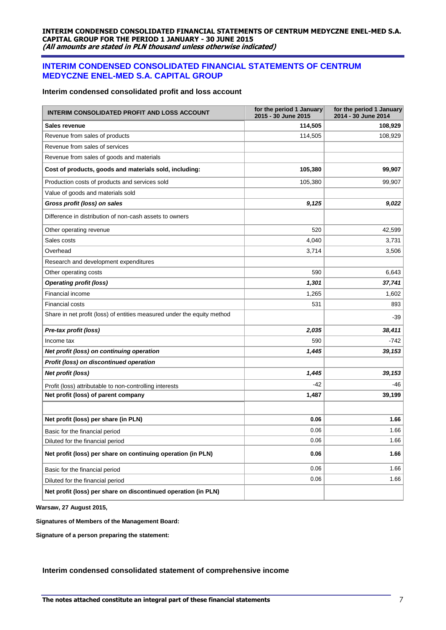# **INTERIM CONDENSED CONSOLIDATED FINANCIAL STATEMENTS OF CENTRUM MEDYCZNE ENEL-MED S.A. CAPITAL GROUP**

# **Interim condensed consolidated profit and loss account**

| INTERIM CONSOLIDATED PROFIT AND LOSS ACCOUNT                            | for the period 1 January<br>2015 - 30 June 2015 | for the period 1 January<br>2014 - 30 June 2014 |
|-------------------------------------------------------------------------|-------------------------------------------------|-------------------------------------------------|
| Sales revenue                                                           | 114,505                                         | 108,929                                         |
| Revenue from sales of products                                          | 114,505                                         | 108,929                                         |
| Revenue from sales of services                                          |                                                 |                                                 |
| Revenue from sales of goods and materials                               |                                                 |                                                 |
| Cost of products, goods and materials sold, including:                  | 105,380                                         | 99,907                                          |
| Production costs of products and services sold                          | 105,380                                         | 99,907                                          |
| Value of goods and materials sold                                       |                                                 |                                                 |
| Gross profit (loss) on sales                                            | 9,125                                           | 9,022                                           |
| Difference in distribution of non-cash assets to owners                 |                                                 |                                                 |
| Other operating revenue                                                 | 520                                             | 42,599                                          |
| Sales costs                                                             | 4,040                                           | 3,731                                           |
| Overhead                                                                | 3,714                                           | 3,506                                           |
| Research and development expenditures                                   |                                                 |                                                 |
| Other operating costs                                                   | 590                                             | 6,643                                           |
| <b>Operating profit (loss)</b>                                          | 1,301                                           | 37,741                                          |
| <b>Financial income</b>                                                 | 1,265                                           | 1,602                                           |
| <b>Financial costs</b>                                                  | 531                                             | 893                                             |
| Share in net profit (loss) of entities measured under the equity method |                                                 | -39                                             |
| Pre-tax profit (loss)                                                   | 2,035                                           | 38,411                                          |
| Income tax                                                              | 590                                             | -742                                            |
| Net profit (loss) on continuing operation                               | 1,445                                           | 39,153                                          |
| Profit (loss) on discontinued operation                                 |                                                 |                                                 |
| Net profit (loss)                                                       | 1,445                                           | 39,153                                          |
| Profit (loss) attributable to non-controlling interests                 | $-42$                                           | -46                                             |
| Net profit (loss) of parent company                                     | 1,487                                           | 39,199                                          |
|                                                                         |                                                 |                                                 |
| Net profit (loss) per share (in PLN)                                    | 0.06                                            | 1.66                                            |
| Basic for the financial period                                          | 0.06                                            | 1.66                                            |
| Diluted for the financial period                                        | 0.06                                            | 1.66                                            |
| Net profit (loss) per share on continuing operation (in PLN)            | 0.06                                            | 1.66                                            |
| Basic for the financial period                                          | 0.06                                            | 1.66                                            |
| Diluted for the financial period                                        | 0.06                                            | 1.66                                            |
| Net profit (loss) per share on discontinued operation (in PLN)          |                                                 |                                                 |

**Warsaw, 27 August 2015,** 

**Signatures of Members of the Management Board:**

**Signature of a person preparing the statement:**

# **Interim condensed consolidated statement of comprehensive income**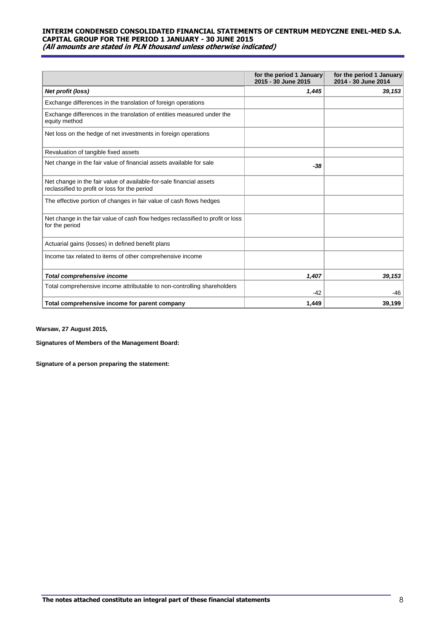|                                                                                                                      | for the period 1 January<br>2015 - 30 June 2015 | for the period 1 January<br>2014 - 30 June 2014 |
|----------------------------------------------------------------------------------------------------------------------|-------------------------------------------------|-------------------------------------------------|
| Net profit (loss)                                                                                                    | 1,445                                           | 39,153                                          |
| Exchange differences in the translation of foreign operations                                                        |                                                 |                                                 |
| Exchange differences in the translation of entities measured under the<br>equity method                              |                                                 |                                                 |
| Net loss on the hedge of net investments in foreign operations                                                       |                                                 |                                                 |
| Revaluation of tangible fixed assets                                                                                 |                                                 |                                                 |
| Net change in the fair value of financial assets available for sale                                                  | -38                                             |                                                 |
| Net change in the fair value of available-for-sale financial assets<br>reclassified to profit or loss for the period |                                                 |                                                 |
| The effective portion of changes in fair value of cash flows hedges                                                  |                                                 |                                                 |
| Net change in the fair value of cash flow hedges reclassified to profit or loss<br>for the period                    |                                                 |                                                 |
| Actuarial gains (losses) in defined benefit plans                                                                    |                                                 |                                                 |
| Income tax related to items of other comprehensive income                                                            |                                                 |                                                 |
| <b>Total comprehensive income</b>                                                                                    | 1,407                                           | 39,153                                          |
| Total comprehensive income attributable to non-controlling shareholders                                              | $-42$                                           | -46                                             |
| Total comprehensive income for parent company                                                                        | 1,449                                           | 39,199                                          |

**Warsaw, 27 August 2015,** 

**Signatures of Members of the Management Board:**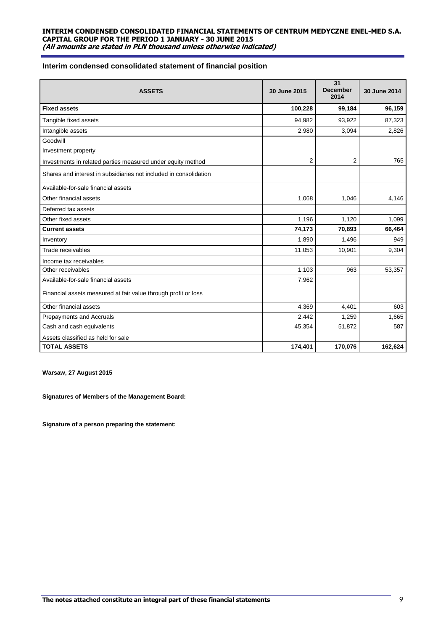# **Interim condensed consolidated statement of financial position**

| <b>ASSETS</b>                                                     | 30 June 2015   | 31<br><b>December</b><br>2014 | 30 June 2014 |
|-------------------------------------------------------------------|----------------|-------------------------------|--------------|
| <b>Fixed assets</b>                                               | 100,228        | 99,184                        | 96,159       |
| Tangible fixed assets                                             | 94,982         | 93,922                        | 87,323       |
| Intangible assets                                                 | 2,980          | 3,094                         | 2,826        |
| Goodwill                                                          |                |                               |              |
| Investment property                                               |                |                               |              |
| Investments in related parties measured under equity method       | $\overline{2}$ | $\overline{2}$                | 765          |
| Shares and interest in subsidiaries not included in consolidation |                |                               |              |
| Available-for-sale financial assets                               |                |                               |              |
| Other financial assets                                            | 1,068          | 1,046                         | 4,146        |
| Deferred tax assets                                               |                |                               |              |
| Other fixed assets                                                | 1,196          | 1,120                         | 1,099        |
| <b>Current assets</b>                                             | 74,173         | 70,893                        | 66,464       |
| Inventory                                                         | 1,890          | 1,496                         | 949          |
| Trade receivables                                                 | 11,053         | 10,901                        | 9,304        |
| Income tax receivables                                            |                |                               |              |
| Other receivables                                                 | 1,103          | 963                           | 53,357       |
| Available-for-sale financial assets                               | 7,962          |                               |              |
| Financial assets measured at fair value through profit or loss    |                |                               |              |
| Other financial assets                                            | 4,369          | 4,401                         | 603          |
| <b>Prepayments and Accruals</b>                                   | 2,442          | 1,259                         | 1,665        |
| Cash and cash equivalents                                         | 45,354         | 51,872                        | 587          |
| Assets classified as held for sale                                |                |                               |              |
| <b>TOTAL ASSETS</b>                                               | 174,401        | 170,076                       | 162,624      |

**Warsaw, 27 August 2015**

**Signatures of Members of the Management Board:**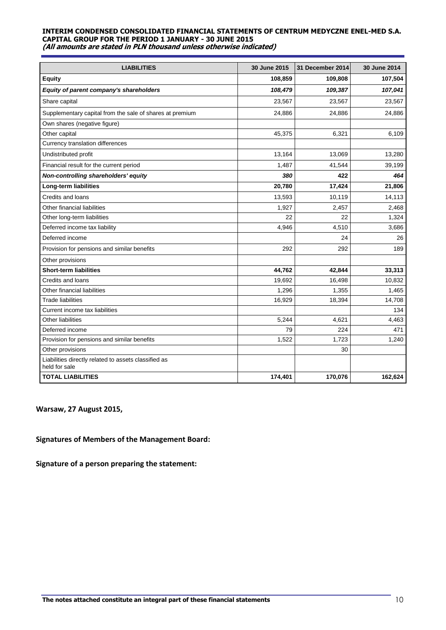| <b>LIABILITIES</b>                                                    | 30 June 2015 | 31 December 2014 | 30 June 2014 |
|-----------------------------------------------------------------------|--------------|------------------|--------------|
| <b>Equity</b>                                                         | 108,859      | 109,808          | 107,504      |
| Equity of parent company's shareholders                               | 108,479      | 109,387          | 107,041      |
| Share capital                                                         | 23,567       | 23,567           | 23,567       |
| Supplementary capital from the sale of shares at premium              | 24,886       | 24,886           | 24,886       |
| Own shares (negative figure)                                          |              |                  |              |
| Other capital                                                         | 45,375       | 6,321            | 6,109        |
| Currency translation differences                                      |              |                  |              |
| Undistributed profit                                                  | 13,164       | 13,069           | 13,280       |
| Financial result for the current period                               | 1,487        | 41,544           | 39,199       |
| Non-controlling shareholders' equity                                  | 380          | 422              | 464          |
| <b>Long-term liabilities</b>                                          | 20,780       | 17,424           | 21,806       |
| Credits and loans                                                     | 13,593       | 10,119           | 14,113       |
| Other financial liabilities                                           | 1,927        | 2,457            | 2,468        |
| Other long-term liabilities                                           | 22           | 22               | 1,324        |
| Deferred income tax liability                                         | 4,946        | 4,510            | 3,686        |
| Deferred income                                                       |              | 24               | 26           |
| Provision for pensions and similar benefits                           | 292          | 292              | 189          |
| Other provisions                                                      |              |                  |              |
| <b>Short-term liabilities</b>                                         | 44,762       | 42,844           | 33,313       |
| Credits and loans                                                     | 19,692       | 16,498           | 10,832       |
| Other financial liabilities                                           | 1,296        | 1,355            | 1,465        |
| <b>Trade liabilities</b>                                              | 16,929       | 18,394           | 14,708       |
| Current income tax liabilities                                        |              |                  | 134          |
| <b>Other liabilities</b>                                              | 5,244        | 4,621            | 4,463        |
| Deferred income                                                       | 79           | 224              | 471          |
| Provision for pensions and similar benefits                           | 1,522        | 1,723            | 1,240        |
| Other provisions                                                      |              | 30               |              |
| Liabilities directly related to assets classified as<br>held for sale |              |                  |              |
| <b>TOTAL LIABILITIES</b>                                              | 174,401      | 170,076          | 162,624      |

**Warsaw, 27 August 2015,** 

# **Signatures of Members of the Management Board:**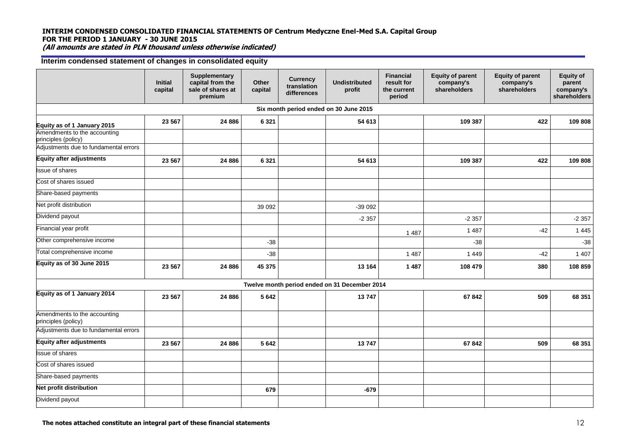# **INTERIM CONDENSED CONSOLIDATED FINANCIAL STATEMENTS OF Centrum Medyczne Enel-Med S.A. Capital Group FOR THE PERIOD 1 JANUARY - 30 JUNE 2015**

**(All amounts are stated in PLN thousand unless otherwise indicated)**

# **Interim condensed statement of changes in consolidated equity**

|                                                     | Initial<br>capital | <b>Supplementary</b><br>capital from the<br>sale of shares at<br>premium | Other<br>capital | <b>Currency</b><br>translation<br>differences | <b>Undistributed</b><br>profit                | <b>Financial</b><br>result for<br>the current<br>period | <b>Equity of parent</b><br>company's<br>shareholders | <b>Equity of parent</b><br>company's<br>shareholders | <b>Equity of</b><br>parent<br>company's<br>shareholders |
|-----------------------------------------------------|--------------------|--------------------------------------------------------------------------|------------------|-----------------------------------------------|-----------------------------------------------|---------------------------------------------------------|------------------------------------------------------|------------------------------------------------------|---------------------------------------------------------|
|                                                     |                    |                                                                          |                  |                                               | Six month period ended on 30 June 2015        |                                                         |                                                      |                                                      |                                                         |
| Equity as of 1 January 2015                         | 23 5 67            | 24 886                                                                   | 6 3 2 1          |                                               | 54 613                                        |                                                         | 109 387                                              | 422                                                  | 109 808                                                 |
| Amendments to the accounting<br>principles (policy) |                    |                                                                          |                  |                                               |                                               |                                                         |                                                      |                                                      |                                                         |
| Adjustments due to fundamental errors               |                    |                                                                          |                  |                                               |                                               |                                                         |                                                      |                                                      |                                                         |
| <b>Equity after adjustments</b>                     | 23 5 67            | 24 886                                                                   | 6 3 2 1          |                                               | 54 613                                        |                                                         | 109 387                                              | 422                                                  | 109 808                                                 |
| <b>Issue of shares</b>                              |                    |                                                                          |                  |                                               |                                               |                                                         |                                                      |                                                      |                                                         |
| Cost of shares issued                               |                    |                                                                          |                  |                                               |                                               |                                                         |                                                      |                                                      |                                                         |
| Share-based payments                                |                    |                                                                          |                  |                                               |                                               |                                                         |                                                      |                                                      |                                                         |
| Net profit distribution                             |                    |                                                                          | 39 092           |                                               | $-39092$                                      |                                                         |                                                      |                                                      |                                                         |
| Dividend payout                                     |                    |                                                                          |                  |                                               | $-2357$                                       |                                                         | $-2357$                                              |                                                      | $-2357$                                                 |
| Financial year profit                               |                    |                                                                          |                  |                                               |                                               | 1 4 8 7                                                 | 1 4 8 7                                              | $-42$                                                | 1 4 4 5                                                 |
| Other comprehensive income                          |                    |                                                                          | $-38$            |                                               |                                               |                                                         | $-38$                                                |                                                      | $-38$                                                   |
| Total comprehensive income                          |                    |                                                                          | $-38$            |                                               |                                               | 1 4 8 7                                                 | 1 4 4 9                                              | $-42$                                                | 1 4 0 7                                                 |
| Equity as of 30 June 2015                           | 23 5 67            | 24 886                                                                   | 45 375           |                                               | 13 164                                        | 1 4 8 7                                                 | 108 479                                              | 380                                                  | 108 859                                                 |
|                                                     |                    |                                                                          |                  |                                               | Twelve month period ended on 31 December 2014 |                                                         |                                                      |                                                      |                                                         |
| Equity as of 1 January 2014                         | 23 5 67            | 24 886                                                                   | 5 6 4 2          |                                               | 13747                                         |                                                         | 67842                                                | 509                                                  | 68 351                                                  |
| Amendments to the accounting<br>principles (policy) |                    |                                                                          |                  |                                               |                                               |                                                         |                                                      |                                                      |                                                         |
| Adjustments due to fundamental errors               |                    |                                                                          |                  |                                               |                                               |                                                         |                                                      |                                                      |                                                         |
| <b>Equity after adjustments</b>                     | 23 567             | 24 8 86                                                                  | 5 6 4 2          |                                               | 13747                                         |                                                         | 67842                                                | 509                                                  | 68 351                                                  |
| ssue of shares                                      |                    |                                                                          |                  |                                               |                                               |                                                         |                                                      |                                                      |                                                         |
| Cost of shares issued                               |                    |                                                                          |                  |                                               |                                               |                                                         |                                                      |                                                      |                                                         |
| Share-based payments                                |                    |                                                                          |                  |                                               |                                               |                                                         |                                                      |                                                      |                                                         |
| <b>Net profit distribution</b>                      |                    |                                                                          | 679              |                                               | $-679$                                        |                                                         |                                                      |                                                      |                                                         |
| Dividend payout                                     |                    |                                                                          |                  |                                               |                                               |                                                         |                                                      |                                                      |                                                         |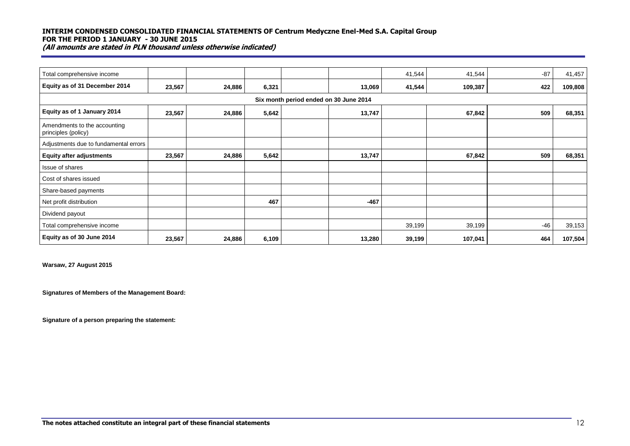| Total comprehensive income                          |        |        |       |                                        | 41,544 | 41,544  | $-87$ | 41,457  |
|-----------------------------------------------------|--------|--------|-------|----------------------------------------|--------|---------|-------|---------|
| Equity as of 31 December 2014                       | 23,567 | 24,886 | 6,321 | 13,069                                 | 41,544 | 109,387 | 422   | 109,808 |
|                                                     |        |        |       | Six month period ended on 30 June 2014 |        |         |       |         |
| Equity as of 1 January 2014                         | 23,567 | 24,886 | 5,642 | 13,747                                 |        | 67,842  | 509   | 68,351  |
| Amendments to the accounting<br>principles (policy) |        |        |       |                                        |        |         |       |         |
| Adjustments due to fundamental errors               |        |        |       |                                        |        |         |       |         |
| <b>Equity after adjustments</b>                     | 23,567 | 24,886 | 5,642 | 13,747                                 |        | 67,842  | 509   | 68,351  |
| Issue of shares                                     |        |        |       |                                        |        |         |       |         |
| Cost of shares issued                               |        |        |       |                                        |        |         |       |         |
| Share-based payments                                |        |        |       |                                        |        |         |       |         |
| Net profit distribution                             |        |        | 467   | $-467$                                 |        |         |       |         |
| Dividend payout                                     |        |        |       |                                        |        |         |       |         |
| Total comprehensive income                          |        |        |       |                                        | 39,199 | 39,199  | $-46$ | 39,153  |
| Equity as of 30 June 2014                           | 23,567 | 24,886 | 6,109 | 13,280                                 | 39,199 | 107,041 | 464   | 107,504 |

**Warsaw, 27 August 2015**

**Signatures of Members of the Management Board:**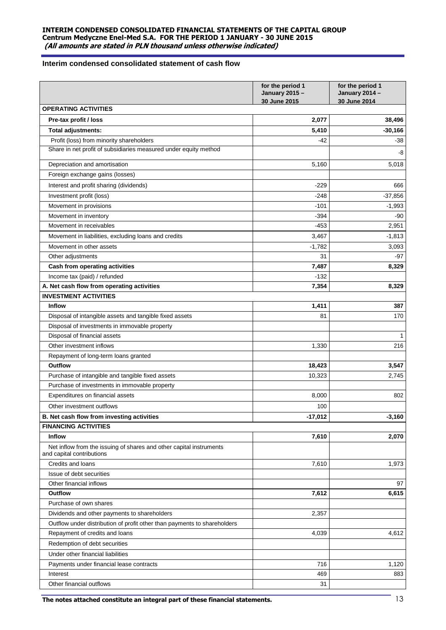# **Interim condensed consolidated statement of cash flow**

|                                                                                                  | for the period 1<br><b>January 2015 -</b><br>30 June 2015 | for the period 1<br><b>January 2014 -</b><br>30 June 2014 |
|--------------------------------------------------------------------------------------------------|-----------------------------------------------------------|-----------------------------------------------------------|
| <b>OPERATING ACTIVITIES</b>                                                                      |                                                           |                                                           |
| Pre-tax profit / loss                                                                            | 2,077                                                     | 38,496                                                    |
| <b>Total adjustments:</b>                                                                        | 5.410                                                     | $-30,166$                                                 |
| Profit (loss) from minority shareholders                                                         | $-42$                                                     | $-38$                                                     |
| Share in net profit of subsidiaries measured under equity method                                 |                                                           | -8                                                        |
| Depreciation and amortisation                                                                    | 5,160                                                     | 5,018                                                     |
| Foreign exchange gains (losses)                                                                  |                                                           |                                                           |
| Interest and profit sharing (dividends)                                                          | $-229$                                                    | 666                                                       |
| Investment profit (loss)                                                                         | $-248$                                                    | $-37,856$                                                 |
| Movement in provisions                                                                           | $-101$                                                    | $-1,993$                                                  |
| Movement in inventory                                                                            | $-394$                                                    | -90                                                       |
| Movement in receivables                                                                          | $-453$                                                    | 2,951                                                     |
| Movement in liabilities, excluding loans and credits                                             | 3,467                                                     | $-1,813$                                                  |
| Movement in other assets                                                                         | $-1,782$                                                  | 3,093                                                     |
| Other adjustments                                                                                | 31                                                        | $-97$                                                     |
| <b>Cash from operating activities</b>                                                            | 7,487                                                     | 8,329                                                     |
| Income tax (paid) / refunded                                                                     | $-132$                                                    |                                                           |
| A. Net cash flow from operating activities                                                       | 7,354                                                     | 8,329                                                     |
| <b>INVESTMENT ACTIVITIES</b>                                                                     |                                                           |                                                           |
| <b>Inflow</b>                                                                                    | 1,411                                                     | 387                                                       |
| Disposal of intangible assets and tangible fixed assets                                          | 81                                                        | 170                                                       |
| Disposal of investments in immovable property                                                    |                                                           |                                                           |
| Disposal of financial assets                                                                     |                                                           | 1                                                         |
| Other investment inflows                                                                         | 1,330                                                     | 216                                                       |
| Repayment of long-term loans granted                                                             |                                                           |                                                           |
| Outflow                                                                                          | 18,423                                                    | 3,547                                                     |
| Purchase of intangible and tangible fixed assets                                                 | 10,323                                                    | 2.745                                                     |
| Purchase of investments in immovable property                                                    |                                                           |                                                           |
| Expenditures on financial assets                                                                 | 8,000                                                     | 802                                                       |
| Other investment outflows                                                                        | 100                                                       |                                                           |
| B. Net cash flow from investing activities                                                       | -17,012                                                   | -3,160                                                    |
| <b>FINANCING ACTIVITIES</b>                                                                      |                                                           |                                                           |
| Inflow                                                                                           | 7,610                                                     | 2,070                                                     |
| Net inflow from the issuing of shares and other capital instruments<br>and capital contributions |                                                           |                                                           |
| Credits and loans                                                                                | 7,610                                                     | 1,973                                                     |
| Issue of debt securities                                                                         |                                                           |                                                           |
| Other financial inflows                                                                          |                                                           | 97                                                        |
| <b>Outflow</b>                                                                                   | 7,612                                                     | 6,615                                                     |
| Purchase of own shares                                                                           |                                                           |                                                           |
| Dividends and other payments to shareholders                                                     | 2,357                                                     |                                                           |
| Outflow under distribution of profit other than payments to shareholders                         |                                                           |                                                           |
| Repayment of credits and loans                                                                   | 4,039                                                     | 4,612                                                     |
| Redemption of debt securities                                                                    |                                                           |                                                           |
| Under other financial liabilities                                                                |                                                           |                                                           |
| Payments under financial lease contracts                                                         | 716                                                       | 1,120                                                     |
| Interest                                                                                         | 469                                                       | 883                                                       |
| Other financial outflows                                                                         | 31                                                        |                                                           |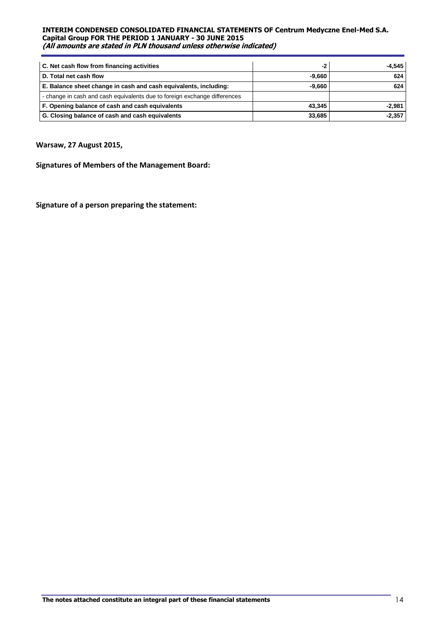| C. Net cash flow from financing activities                                | $-2$     | -4.545   |
|---------------------------------------------------------------------------|----------|----------|
| D. Total net cash flow                                                    | -9.660   | 624      |
| E. Balance sheet change in cash and cash equivalents, including:          | $-9.660$ | 624      |
| - change in cash and cash equivalents due to foreign exchange differences |          |          |
| F. Opening balance of cash and cash equivalents                           | 43.345   | $-2.981$ |
| G. Closing balance of cash and cash equivalents                           | 33.685   | $-2.357$ |

# **Warsaw, 27 August 2015,**

**Signatures of Members of the Management Board:**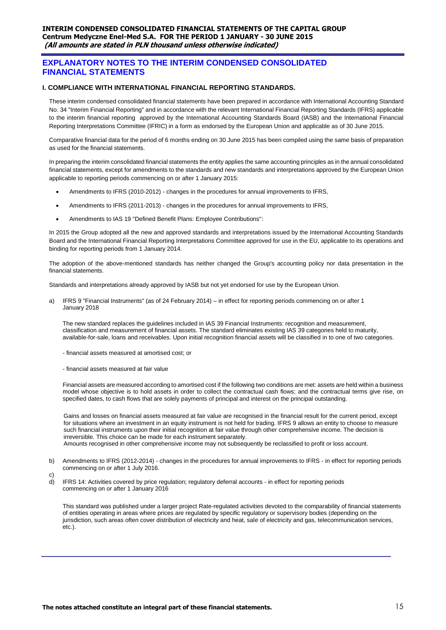# **EXPLANATORY NOTES TO THE INTERIM CONDENSED CONSOLIDATED FINANCIAL STATEMENTS**

## **I. COMPLIANCE WITH INTERNATIONAL FINANCIAL REPORTING STANDARDS.**

These interim condensed consolidated financial statements have been prepared in accordance with International Accounting Standard No. 34 "Interim Financial Reporting" and in accordance with the relevant International Financial Reporting Standards (IFRS) applicable to the interim financial reporting approved by the International Accounting Standards Board (IASB) and the International Financial Reporting Interpretations Committee (IFRIC) in a form as endorsed by the European Union and applicable as of 30 June 2015.

Comparative financial data for the period of 6 months ending on 30 June 2015 has been compiled using the same basis of preparation as used for the financial statements.

In preparing the interim consolidated financial statements the entity applies the same accounting principles as in the annual consolidated financial statements, except for amendments to the standards and new standards and interpretations approved by the European Union applicable to reporting periods commencing on or after 1 January 2015:

- Amendments to IFRS (2010-2012) changes in the procedures for annual improvements to IFRS,
- Amendments to IFRS (2011-2013) changes in the procedures for annual improvements to IFRS,
- Amendments to IAS 19 "Defined Benefit Plans: Employee Contributions":

In 2015 the Group adopted all the new and approved standards and interpretations issued by the International Accounting Standards Board and the International Financial Reporting Interpretations Committee approved for use in the EU, applicable to its operations and binding for reporting periods from 1 January 2014.

The adoption of the above-mentioned standards has neither changed the Group's accounting policy nor data presentation in the financial statements.

Standards and interpretations already approved by IASB but not yet endorsed for use by the European Union.

a) IFRS 9 "Financial Instruments" (as of 24 February 2014) – in effect for reporting periods commencing on or after 1 January 2018

The new standard replaces the guidelines included in IAS 39 Financial Instruments: recognition and measurement, classification and measurement of financial assets. The standard eliminates existing IAS 39 categories held to maturity, available-for-sale, loans and receivables. Upon initial recognition financial assets will be classified in to one of two categories.

- financial assets measured at amortised cost; or
- financial assets measured at fair value

Financial assets are measured according to amortised cost if the following two conditions are met: assets are held within a business model whose objective is to hold assets in order to collect the contractual cash flows; and the contractual terms give rise, on specified dates, to cash flows that are solely payments of principal and interest on the principal outstanding.

Gains and losses on financial assets measured at fair value are recognised in the financial result for the current period, except for situations where an investment in an equity instrument is not held for trading. IFRS 9 allows an entity to choose to measure such financial instruments upon their initial recognition at fair value through other comprehensive income. The decision is irreversible. This choice can be made for each instrument separately.

Amounts recognised in other comprehensive income may not subsequently be reclassified to profit or loss account.

b) Amendments to IFRS (2012-2014) - changes in the procedures for annual improvements to IFRS - in effect for reporting periods commencing on or after 1 July 2016.

c)

d) IFRS 14: Activities covered by price regulation; regulatory deferral accounts - in effect for reporting periods commencing on or after 1 January 2016

This standard was published under a larger project Rate-regulated activities devoted to the comparability of financial statements of entities operating in areas where prices are regulated by specific regulatory or supervisory bodies (depending on the jurisdiction, such areas often cover distribution of electricity and heat, sale of electricity and gas, telecommunication services, etc.).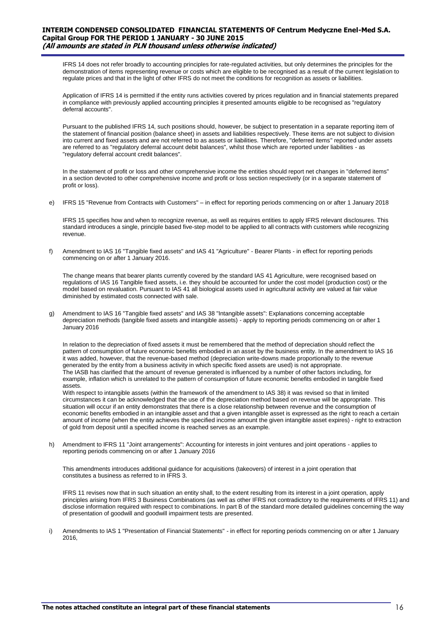IFRS 14 does not refer broadly to accounting principles for rate-regulated activities, but only determines the principles for the demonstration of items representing revenue or costs which are eligible to be recognised as a result of the current legislation to regulate prices and that in the light of other IFRS do not meet the conditions for recognition as assets or liabilities.

Application of IFRS 14 is permitted if the entity runs activities covered by prices regulation and in financial statements prepared in compliance with previously applied accounting principles it presented amounts eligible to be recognised as "regulatory deferral accounts".

Pursuant to the published IFRS 14, such positions should, however, be subject to presentation in a separate reporting item of the statement of financial position (balance sheet) in assets and liabilities respectively. These items are not subject to division into current and fixed assets and are not referred to as assets or liabilities. Therefore, "deferred items" reported under assets are referred to as "regulatory deferral account debit balances", whilst those which are reported under liabilities - as "regulatory deferral account credit balances".

In the statement of profit or loss and other comprehensive income the entities should report net changes in "deferred items" in a section devoted to other comprehensive income and profit or loss section respectively (or in a separate statement of profit or loss).

e) IFRS 15 "Revenue from Contracts with Customers" – in effect for reporting periods commencing on or after 1 January 2018

IFRS 15 specifies how and when to recognize revenue, as well as requires entities to apply IFRS relevant disclosures. This standard introduces a single, principle based five-step model to be applied to all contracts with customers while recognizing revenue.

f) Amendment to IAS 16 "Tangible fixed assets" and IAS 41 "Agriculture" - Bearer Plants - in effect for reporting periods commencing on or after 1 January 2016.

The change means that bearer plants currently covered by the standard IAS 41 Agriculture, were recognised based on regulations of IAS 16 Tangible fixed assets, i.e. they should be accounted for under the cost model (production cost) or the model based on revaluation. Pursuant to IAS 41 all biological assets used in agricultural activity are valued at fair value diminished by estimated costs connected with sale.

g) Amendment to IAS 16 "Tangible fixed assets" and IAS 38 "Intangible assets": Explanations concerning acceptable depreciation methods (tangible fixed assets and intangible assets) - apply to reporting periods commencing on or after 1 January 2016

In relation to the depreciation of fixed assets it must be remembered that the method of depreciation should reflect the pattern of consumption of future economic benefits embodied in an asset by the business entity. In the amendment to IAS 16 it was added, however, that the revenue-based method (depreciation write-downs made proportionally to the revenue generated by the entity from a business activity in which specific fixed assets are used) is not appropriate. The IASB has clarified that the amount of revenue generated is influenced by a number of other factors including, for example, inflation which is unrelated to the pattern of consumption of future economic benefits embodied in tangible fixed assets.

With respect to intangible assets (within the framework of the amendment to IAS 38) it was revised so that in limited circumstances it can be acknowledged that the use of the depreciation method based on revenue will be appropriate. This situation will occur if an entity demonstrates that there is a close relationship between revenue and the consumption of economic benefits embodied in an intangible asset and that a given intangible asset is expressed as the right to reach a certain amount of income (when the entity achieves the specified income amount the given intangible asset expires) - right to extraction of gold from deposit until a specified income is reached serves as an example.

h) Amendment to IFRS 11 "Joint arrangements": Accounting for interests in joint ventures and joint operations - applies to reporting periods commencing on or after 1 January 2016

This amendments introduces additional guidance for acquisitions (takeovers) of interest in a joint operation that constitutes a business as referred to in IFRS 3.

IFRS 11 revises now that in such situation an entity shall, to the extent resulting from its interest in a joint operation, apply principles arising from IFRS 3 Business Combinations (as well as other IFRS not contradictory to the requirements of IFRS 11) and disclose information required with respect to combinations. In part B of the standard more detailed guidelines concerning the way of presentation of goodwill and goodwill impairment tests are presented.

i) Amendments to IAS 1 "Presentation of Financial Statements" - in effect for reporting periods commencing on or after 1 January 2016,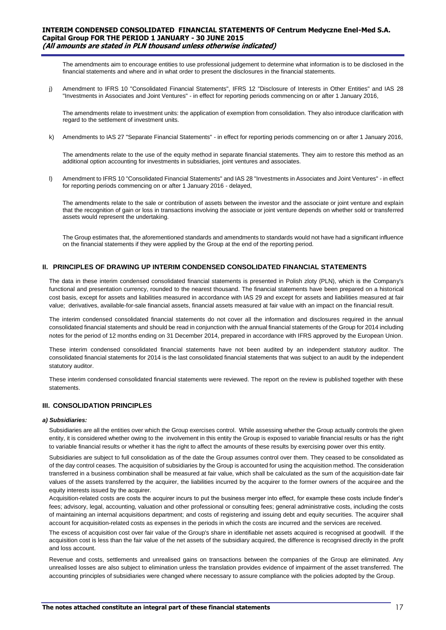The amendments aim to encourage entities to use professional judgement to determine what information is to be disclosed in the financial statements and where and in what order to present the disclosures in the financial statements.

j) Amendment to IFRS 10 "Consolidated Financial Statements", IFRS 12 "Disclosure of Interests in Other Entities" and IAS 28 "Investments in Associates and Joint Ventures" - in effect for reporting periods commencing on or after 1 January 2016,

The amendments relate to investment units: the application of exemption from consolidation. They also introduce clarification with regard to the settlement of investment units.

k) Amendments to IAS 27 "Separate Financial Statements" - in effect for reporting periods commencing on or after 1 January 2016,

The amendments relate to the use of the equity method in separate financial statements. They aim to restore this method as an additional option accounting for investments in subsidiaries, joint ventures and associates.

l) Amendment to IFRS 10 "Consolidated Financial Statements" and IAS 28 "Investments in Associates and Joint Ventures" - in effect for reporting periods commencing on or after 1 January 2016 - delayed,

The amendments relate to the sale or contribution of assets between the investor and the associate or joint venture and explain that the recognition of gain or loss in transactions involving the associate or joint venture depends on whether sold or transferred assets would represent the undertaking.

The Group estimates that, the aforementioned standards and amendments to standards would not have had a significant influence on the financial statements if they were applied by the Group at the end of the reporting period.

# **II. PRINCIPLES OF DRAWING UP INTERIM CONDENSED CONSOLIDATED FINANCIAL STATEMENTS**

The data in these interim condensed consolidated financial statements is presented in Polish zloty (PLN), which is the Company's functional and presentation currency, rounded to the nearest thousand. The financial statements have been prepared on a historical cost basis, except for assets and liabilities measured in accordance with IAS 29 and except for assets and liabilities measured at fair value; derivatives, available-for-sale financial assets, financial assets measured at fair value with an impact on the financial result.

The interim condensed consolidated financial statements do not cover all the information and disclosures required in the annual consolidated financial statements and should be read in conjunction with the annual financial statements of the Group for 2014 including notes for the period of 12 months ending on 31 December 2014, prepared in accordance with IFRS approved by the European Union.

These interim condensed consolidated financial statements have not been audited by an independent statutory auditor. The consolidated financial statements for 2014 is the last consolidated financial statements that was subject to an audit by the independent statutory auditor.

These interim condensed consolidated financial statements were reviewed. The report on the review is published together with these statements.

# **III. CONSOLIDATION PRINCIPLES**

#### *a) Subsidiaries:*

Subsidiaries are all the entities over which the Group exercises control. While assessing whether the Group actually controls the given entity, it is considered whether owing to the involvement in this entity the Group is exposed to variable financial results or has the right to variable financial results or whether it has the right to affect the amounts of these results by exercising power over this entity.

Subsidiaries are subject to full consolidation as of the date the Group assumes control over them. They ceased to be consolidated as of the day control ceases. The acquisition of subsidiaries by the Group is accounted for using the acquisition method. The consideration transferred in a business combination shall be measured at fair value, which shall be calculated as the sum of the acquisition-date fair values of the assets transferred by the acquirer, the liabilities incurred by the acquirer to the former owners of the acquiree and the equity interests issued by the acquirer.

Acquisition-related costs are costs the acquirer incurs to put the business merger into effect, for example these costs include finder's fees; advisory, legal, accounting, valuation and other professional or consulting fees; general administrative costs, including the costs of maintaining an internal acquisitions department; and costs of registering and issuing debt and equity securities. The acquirer shall account for acquisition-related costs as expenses in the periods in which the costs are incurred and the services are received.

The excess of acquisition cost over fair value of the Group's share in identifiable net assets acquired is recognised at goodwill. If the acquisition cost is less than the fair value of the net assets of the subsidiary acquired, the difference is recognised directly in the profit and loss account.

Revenue and costs, settlements and unrealised gains on transactions between the companies of the Group are eliminated. Any unrealised losses are also subject to elimination unless the translation provides evidence of impairment of the asset transferred. The accounting principles of subsidiaries were changed where necessary to assure compliance with the policies adopted by the Group.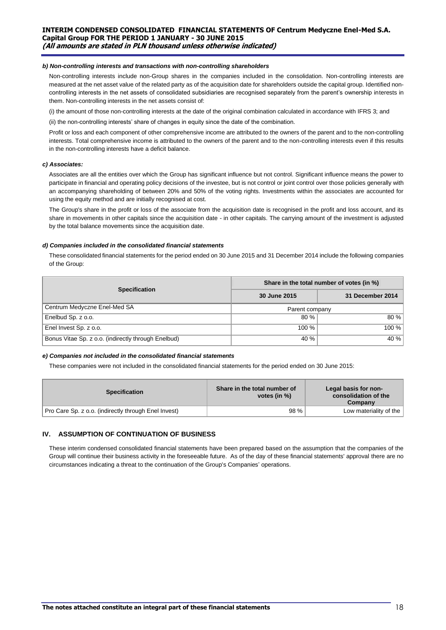#### *b) Non-controlling interests and transactions with non-controlling shareholders*

Non-controlling interests include non-Group shares in the companies included in the consolidation. Non-controlling interests are measured at the net asset value of the related party as of the acquisition date for shareholders outside the capital group. Identified noncontrolling interests in the net assets of consolidated subsidiaries are recognised separately from the parent's ownership interests in them. Non-controlling interests in the net assets consist of:

(i) the amount of those non-controlling interests at the date of the original combination calculated in accordance with IFRS 3; and

(ii) the non-controlling interests' share of changes in equity since the date of the combination.

Profit or loss and each component of other comprehensive income are attributed to the owners of the parent and to the non-controlling interests. Total comprehensive income is attributed to the owners of the parent and to the non-controlling interests even if this results in the non-controlling interests have a deficit balance.

#### *c) Associates:*

Associates are all the entities over which the Group has significant influence but not control. Significant influence means the power to participate in financial and operating policy decisions of the investee, but is not control or joint control over those policies generally with an accompanying shareholding of between 20% and 50% of the voting rights. Investments within the associates are accounted for using the equity method and are initially recognised at cost.

The Group's share in the profit or loss of the associate from the acquisition date is recognised in the profit and loss account, and its share in movements in other capitals since the acquisition date - in other capitals. The carrying amount of the investment is adjusted by the total balance movements since the acquisition date.

#### *d) Companies included in the consolidated financial statements*

These consolidated financial statements for the period ended on 30 June 2015 and 31 December 2014 include the following companies of the Group:

|                                                     | Share in the total number of votes (in %) |                  |  |  |
|-----------------------------------------------------|-------------------------------------------|------------------|--|--|
| <b>Specification</b>                                | 30 June 2015                              | 31 December 2014 |  |  |
| Centrum Medyczne Enel-Med SA                        | Parent company                            |                  |  |  |
| Enelbud Sp. z o.o.                                  | 80%                                       | 80%              |  |  |
| Enel Invest Sp. z o.o.                              | $100 \%$                                  | 100%             |  |  |
| Bonus Vitae Sp. z o.o. (indirectly through Enelbud) | 40 %                                      | 40 %             |  |  |

#### *e) Companies not included in the consolidated financial statements*

These companies were not included in the consolidated financial statements for the period ended on 30 June 2015:

| <b>Specification</b>                                 | Share in the total number of<br>votes (in %) | Legal basis for non-<br>consolidation of the<br>Company |
|------------------------------------------------------|----------------------------------------------|---------------------------------------------------------|
| Pro Care Sp. z o.o. (indirectly through Enel Invest) | 98 %                                         | Low materiality of the                                  |
|                                                      |                                              |                                                         |

#### **IV. ASSUMPTION OF CONTINUATION OF BUSINESS**

These interim condensed consolidated financial statements have been prepared based on the assumption that the companies of the Group will continue their business activity in the foreseeable future. As of the day of these financial statements' approval there are no circumstances indicating a threat to the continuation of the Group's Companies' operations.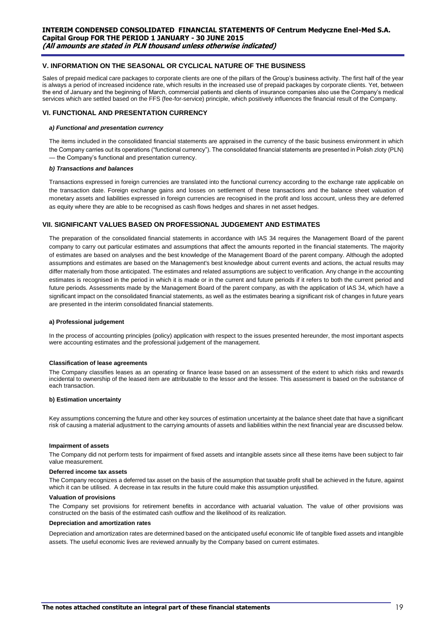# **V. INFORMATION ON THE SEASONAL OR CYCLICAL NATURE OF THE BUSINESS**

Sales of prepaid medical care packages to corporate clients are one of the pillars of the Group's business activity. The first half of the year is always a period of increased incidence rate, which results in the increased use of prepaid packages by corporate clients. Yet, between the end of January and the beginning of March, commercial patients and clients of insurance companies also use the Company's medical services which are settled based on the FFS (fee-for-service) principle, which positively influences the financial result of the Company.

## **VI. FUNCTIONAL AND PRESENTATION CURRENCY**

#### *a) Functional and presentation currency*

The items included in the consolidated financial statements are appraised in the currency of the basic business environment in which the Company carries out its operations ("functional currency"). The consolidated financial statements are presented in Polish zloty (PLN) — the Company's functional and presentation currency.

#### *b) Transactions and balances*

Transactions expressed in foreign currencies are translated into the functional currency according to the exchange rate applicable on the transaction date. Foreign exchange gains and losses on settlement of these transactions and the balance sheet valuation of monetary assets and liabilities expressed in foreign currencies are recognised in the profit and loss account, unless they are deferred as equity where they are able to be recognised as cash flows hedges and shares in net asset hedges.

#### **VII. SIGNIFICANT VALUES BASED ON PROFESSIONAL JUDGEMENT AND ESTIMATES**

The preparation of the consolidated financial statements in accordance with IAS 34 requires the Management Board of the parent company to carry out particular estimates and assumptions that affect the amounts reported in the financial statements. The majority of estimates are based on analyses and the best knowledge of the Management Board of the parent company. Although the adopted assumptions and estimates are based on the Management's best knowledge about current events and actions, the actual results may differ materially from those anticipated. The estimates and related assumptions are subject to verification. Any change in the accounting estimates is recognised in the period in which it is made or in the current and future periods if it refers to both the current period and future periods. Assessments made by the Management Board of the parent company, as with the application of IAS 34, which have a significant impact on the consolidated financial statements, as well as the estimates bearing a significant risk of changes in future years are presented in the interim consolidated financial statements.

#### **a) Professional judgement**

In the process of accounting principles (policy) application with respect to the issues presented hereunder, the most important aspects were accounting estimates and the professional judgement of the management.

#### **Classification of lease agreements**

The Company classifies leases as an operating or finance lease based on an assessment of the extent to which risks and rewards incidental to ownership of the leased item are attributable to the lessor and the lessee. This assessment is based on the substance of each transaction.

#### **b) Estimation uncertainty**

Key assumptions concerning the future and other key sources of estimation uncertainty at the balance sheet date that have a significant risk of causing a material adjustment to the carrying amounts of assets and liabilities within the next financial year are discussed below.

#### **Impairment of assets**

The Company did not perform tests for impairment of fixed assets and intangible assets since all these items have been subject to fair value measurement.

#### **Deferred income tax assets**

The Company recognizes a deferred tax asset on the basis of the assumption that taxable profit shall be achieved in the future, against which it can be utilised. A decrease in tax results in the future could make this assumption unjustified.

#### **Valuation of provisions**

The Company set provisions for retirement benefits in accordance with actuarial valuation. The value of other provisions was constructed on the basis of the estimated cash outflow and the likelihood of its realization.

#### **Depreciation and amortization rates**

Depreciation and amortization rates are determined based on the anticipated useful economic life of tangible fixed assets and intangible assets. The useful economic lives are reviewed annually by the Company based on current estimates.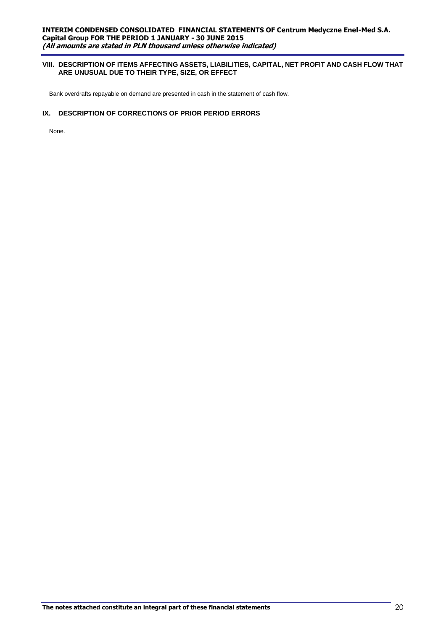# **VIII. DESCRIPTION OF ITEMS AFFECTING ASSETS, LIABILITIES, CAPITAL, NET PROFIT AND CASH FLOW THAT ARE UNUSUAL DUE TO THEIR TYPE, SIZE, OR EFFECT**

Bank overdrafts repayable on demand are presented in cash in the statement of cash flow.

# **IX. DESCRIPTION OF CORRECTIONS OF PRIOR PERIOD ERRORS**

None.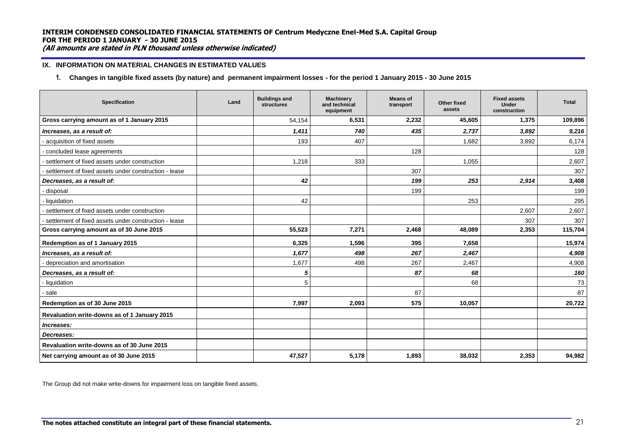## **IX. INFORMATION ON MATERIAL CHANGES IN ESTIMATED VALUES**

**1. Changes in tangible fixed assets (by nature) and permanent impairment losses - for the period 1 January 2015 - 30 June 2015**

| <b>Specification</b>                                  | Land | <b>Buildings and</b><br><b>structures</b> | Machinery<br>and technical<br>equipment | <b>Means of</b><br>transport | Other fixed<br>assets | <b>Fixed assets</b><br>Under<br>construction | <b>Total</b> |
|-------------------------------------------------------|------|-------------------------------------------|-----------------------------------------|------------------------------|-----------------------|----------------------------------------------|--------------|
| Gross carrying amount as of 1 January 2015            |      | 54,154                                    | 6,531                                   | 2,232                        | 45,605                | 1,375                                        | 109,896      |
| Increases, as a result of:                            |      | 1,411                                     | 740                                     | 435                          | 2,737                 | 3,892                                        | 9,216        |
| acquisition of fixed assets                           |      | 193                                       | 407                                     |                              | 1,682                 | 3,892                                        | 6,174        |
| concluded lease agreements                            |      |                                           |                                         | 128                          |                       |                                              | 128          |
| - settlement of fixed assets under construction       |      | 1,218                                     | 333                                     |                              | 1,055                 |                                              | 2,607        |
| settlement of fixed assets under construction - lease |      |                                           |                                         | 307                          |                       |                                              | 307          |
| Decreases, as a result of:                            |      | 42                                        |                                         | 199                          | 253                   | 2,914                                        | 3,408        |
| disposal                                              |      |                                           |                                         | 199                          |                       |                                              | 199          |
| - liquidation                                         |      | 42                                        |                                         |                              | 253                   |                                              | 295          |
| settlement of fixed assets under construction         |      |                                           |                                         |                              |                       | 2,607                                        | 2,607        |
| settlement of fixed assets under construction - lease |      |                                           |                                         |                              |                       | 307                                          | 307          |
| Gross carrying amount as of 30 June 2015              |      | 55,523                                    | 7,271                                   | 2,468                        | 48.089                | 2,353                                        | 115,704      |
| Redemption as of 1 January 2015                       |      | 6,325                                     | 1,596                                   | 395                          | 7,658                 |                                              | 15,974       |
| Increases, as a result of:                            |      | 1,677                                     | 498                                     | 267                          | 2,467                 |                                              | 4,908        |
| depreciation and amortisation                         |      | 1,677                                     | 498                                     | 267                          | 2,467                 |                                              | 4,908        |
| Decreases, as a result of:                            |      | 5                                         |                                         | 87                           | 68                    |                                              | 160          |
| - liquidation                                         |      | 5                                         |                                         |                              | 68                    |                                              | 73           |
| - sale                                                |      |                                           |                                         | 87                           |                       |                                              | 87           |
| Redemption as of 30 June 2015                         |      | 7,997                                     | 2,093                                   | 575                          | 10,057                |                                              | 20,722       |
| Revaluation write-downs as of 1 January 2015          |      |                                           |                                         |                              |                       |                                              |              |
| Increases:                                            |      |                                           |                                         |                              |                       |                                              |              |
| Decreases:                                            |      |                                           |                                         |                              |                       |                                              |              |
| Revaluation write-downs as of 30 June 2015            |      |                                           |                                         |                              |                       |                                              |              |
| Net carrying amount as of 30 June 2015                |      | 47,527                                    | 5.178                                   | 1.893                        | 38,032                | 2,353                                        | 94.982       |

The Group did not make write-downs for impairment loss on tangible fixed assets.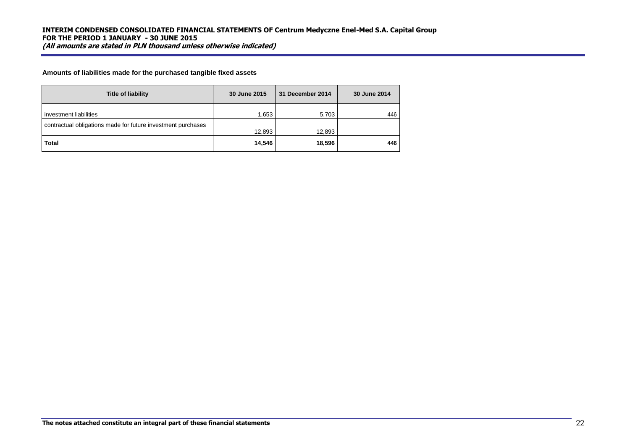**Amounts of liabilities made for the purchased tangible fixed assets**

| <b>Title of liability</b>                                                              | 30 June 2015 | 31 December 2014 | 30 June 2014 |
|----------------------------------------------------------------------------------------|--------------|------------------|--------------|
| investment liabilities<br>contractual obligations made for future investment purchases | 1.653        | 5,703            | 446          |
|                                                                                        | 12,893       | 12,893           |              |
| <b>Total</b>                                                                           | 14,546       | 18,596           | 446          |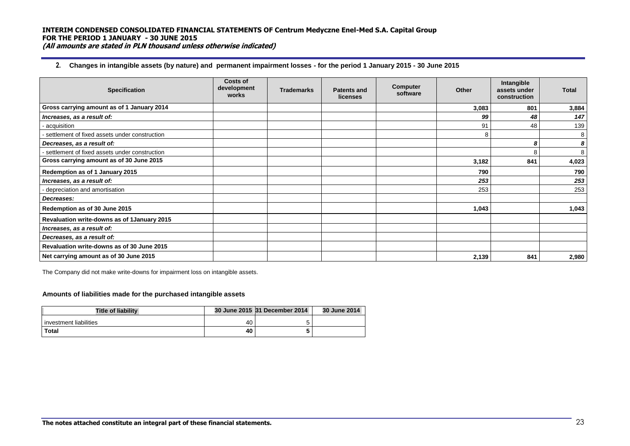# **2. Changes in intangible assets (by nature) and permanent impairment losses - for the period 1 January 2015 - 30 June 2015**

| <b>Specification</b>                            | Costs of<br>development<br>works | <b>Trademarks</b> | <b>Patents and</b><br>licenses | Computer<br>software | Other | Intangible<br>assets under<br>construction | <b>Total</b> |
|-------------------------------------------------|----------------------------------|-------------------|--------------------------------|----------------------|-------|--------------------------------------------|--------------|
| Gross carrying amount as of 1 January 2014      |                                  |                   |                                |                      | 3,083 | 801                                        | 3,884        |
| Increases, as a result of:                      |                                  |                   |                                |                      | 99    | 48                                         | 147          |
| acquisition                                     |                                  |                   |                                |                      | 91    | 48                                         | 139          |
| settlement of fixed assets under construction   |                                  |                   |                                |                      | 8     |                                            | 8            |
| Decreases, as a result of:                      |                                  |                   |                                |                      |       | Я                                          | 8            |
| - settlement of fixed assets under construction |                                  |                   |                                |                      |       | 8                                          | 8            |
| Gross carrying amount as of 30 June 2015        |                                  |                   |                                |                      | 3,182 | 841                                        | 4,023        |
| Redemption as of 1 January 2015                 |                                  |                   |                                |                      | 790   |                                            | 790          |
| Increases, as a result of:                      |                                  |                   |                                |                      | 253   |                                            | 253          |
| depreciation and amortisation                   |                                  |                   |                                |                      | 253   |                                            | 253          |
| Decreases:                                      |                                  |                   |                                |                      |       |                                            |              |
| Redemption as of 30 June 2015                   |                                  |                   |                                |                      | 1,043 |                                            | 1,043        |
| Revaluation write-downs as of 1 January 2015    |                                  |                   |                                |                      |       |                                            |              |
| Increases, as a result of:                      |                                  |                   |                                |                      |       |                                            |              |
| Decreases, as a result of:                      |                                  |                   |                                |                      |       |                                            |              |
| Revaluation write-downs as of 30 June 2015      |                                  |                   |                                |                      |       |                                            |              |
| Net carrying amount as of 30 June 2015          |                                  |                   |                                |                      | 2,139 | 841                                        | 2,980        |

The Company did not make write-downs for impairment loss on intangible assets.

#### **Amounts of liabilities made for the purchased intangible assets**

| <b>Title of liability</b> |    | 30 June 2015 31 December 2014 | <b>30 June 2014</b> |
|---------------------------|----|-------------------------------|---------------------|
| investment liabilities    | 40 |                               |                     |
| <b>Total</b>              | 40 |                               |                     |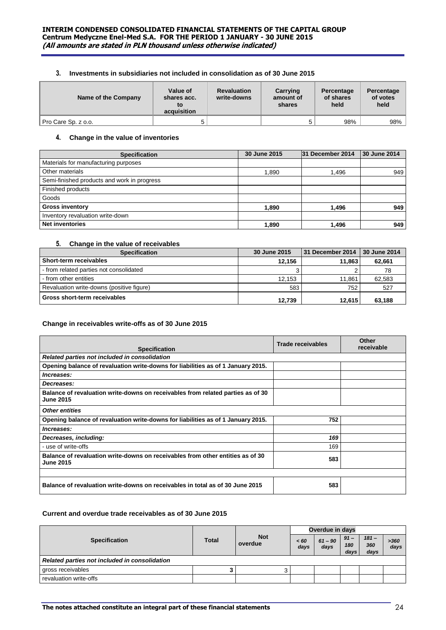# **3. Investments in subsidiaries not included in consolidation as of 30 June 2015**

| Name of the Company | Value of<br>shares acc.<br>to<br>acquisition | <b>Revaluation</b><br>write-downs | Carrying<br>amount of<br>shares | Percentage<br>of shares<br>held | Percentage<br>of votes<br>held |
|---------------------|----------------------------------------------|-----------------------------------|---------------------------------|---------------------------------|--------------------------------|
| Pro Care Sp. z o.o. |                                              |                                   |                                 | 98%                             | 98%                            |

# **4. Change in the value of inventories**

| <b>Specification</b>                        | 30 June 2015 | 31 December 2014 | 30 June 2014 |
|---------------------------------------------|--------------|------------------|--------------|
| Materials for manufacturing purposes        |              |                  |              |
| Other materials                             | 1.890        | 1,496            | 949          |
| Semi-finished products and work in progress |              |                  |              |
| Finished products                           |              |                  |              |
| Goods                                       |              |                  |              |
| <b>Gross inventory</b>                      | 1,890        | 1,496            | 949          |
| Inventory revaluation write-down            |              |                  |              |
| <b>Net inventories</b>                      | 1.890        | 1,496            | 949          |

# **5. Change in the value of receivables**

| <b>Specification</b>                      | 30 June 2015 | 31 December 2014 | 30 June 2014 |
|-------------------------------------------|--------------|------------------|--------------|
| Short-term receivables                    | 12.156       | 11.863           | 62,661       |
| - from related parties not consolidated   |              |                  | 78           |
| - from other entities                     | 12.153       | 11.861           | 62.583       |
| Revaluation write-downs (positive figure) | 583          | 752              | 527          |
| Gross short-term receivables              | 12.739       | 12.615           | 63.188       |

# **Change in receivables write-offs as of 30 June 2015**

| <b>Specification</b>                                                                                | Trade receivables | Other<br>receivable |
|-----------------------------------------------------------------------------------------------------|-------------------|---------------------|
| Related parties not included in consolidation                                                       |                   |                     |
| Opening balance of revaluation write-downs for liabilities as of 1 January 2015.                    |                   |                     |
| Increases:                                                                                          |                   |                     |
| Decreases:                                                                                          |                   |                     |
| Balance of revaluation write-downs on receivables from related parties as of 30<br><b>June 2015</b> |                   |                     |
| <b>Other entities</b>                                                                               |                   |                     |
| Opening balance of revaluation write-downs for liabilities as of 1 January 2015.                    | 752               |                     |
| Increases:                                                                                          |                   |                     |
| Decreases, including:                                                                               | 169               |                     |
| - use of write-offs                                                                                 | 169               |                     |
| Balance of revaluation write-downs on receivables from other entities as of 30<br><b>June 2015</b>  | 583               |                     |
|                                                                                                     |                   |                     |
| Balance of revaluation write-downs on receivables in total as of 30 June 2015                       | 583               |                     |

# **Current and overdue trade receivables as of 30 June 2015**

|                                               |              |                       | Overdue in days |                   |                       |                        |              |
|-----------------------------------------------|--------------|-----------------------|-----------------|-------------------|-----------------------|------------------------|--------------|
| <b>Specification</b>                          | <b>Total</b> | <b>Not</b><br>overdue | < 60<br>days    | $61 - 90$<br>days | $91 -$<br>180<br>days | $181 -$<br>360<br>days | >360<br>days |
| Related parties not included in consolidation |              |                       |                 |                   |                       |                        |              |
| gross receivables                             |              |                       |                 |                   |                       |                        |              |
| revaluation write-offs                        |              |                       |                 |                   |                       |                        |              |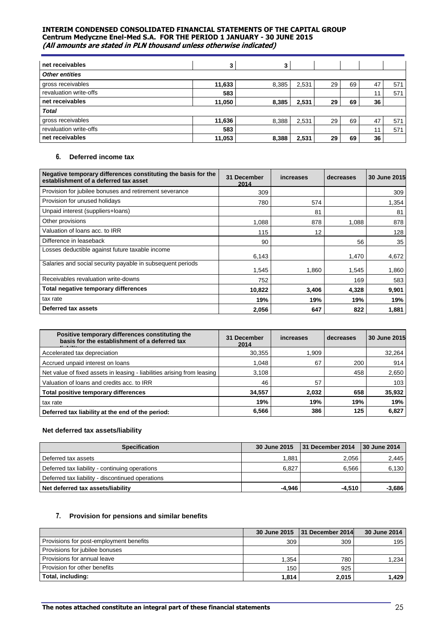| net receivables        | 3      | 3     |       |    |    |    |     |
|------------------------|--------|-------|-------|----|----|----|-----|
| <b>Other entities</b>  |        |       |       |    |    |    |     |
| gross receivables      | 11,633 | 8,385 | 2,531 | 29 | 69 | 47 | 571 |
| revaluation write-offs | 583    |       |       |    |    | 11 | 571 |
| net receivables        | 11,050 | 8,385 | 2,531 | 29 | 69 | 36 |     |
| <b>Total</b>           |        |       |       |    |    |    |     |
| gross receivables      | 11,636 | 8,388 | 2,531 | 29 | 69 | 47 | 571 |
| revaluation write-offs | 583    |       |       |    |    | 11 | 571 |
| net receivables        | 11,053 | 8,388 | 2,531 | 29 | 69 | 36 |     |

# **6. Deferred income tax**

| Negative temporary differences constituting the basis for the<br>establishment of a deferred tax asset | 31 December<br>2014 | increases | decreases | 30 June 2015 |
|--------------------------------------------------------------------------------------------------------|---------------------|-----------|-----------|--------------|
| Provision for jubilee bonuses and retirement severance                                                 | 309                 |           |           | 309          |
| Provision for unused holidays                                                                          | 780                 | 574       |           | 1,354        |
| Unpaid interest (suppliers+loans)                                                                      |                     | 81        |           | 81           |
| Other provisions                                                                                       | 1,088               | 878       | 1,088     | 878          |
| Valuation of loans acc. to IRR                                                                         | 115                 | 12        |           | 128          |
| Difference in leaseback                                                                                | 90                  |           | 56        | 35           |
| Losses deductible against future taxable income                                                        | 6,143               |           | 1,470     | 4,672        |
| Salaries and social security payable in subsequent periods                                             | 1,545               | 1,860     | 1,545     | 1,860        |
| Receivables revaluation write-downs                                                                    | 752                 |           | 169       | 583          |
| Total negative temporary differences                                                                   | 10,822              | 3.406     | 4,328     | 9,901        |
| tax rate                                                                                               | 19%                 | 19%       | 19%       | 19%          |
| Deferred tax assets                                                                                    | 2,056               | 647       | 822       | 1,881        |

| Positive temporary differences constituting the<br>basis for the establishment of a deferred tax | <b>December</b><br>31<br>2014 | increases | decreases | 30 June 2015 |
|--------------------------------------------------------------------------------------------------|-------------------------------|-----------|-----------|--------------|
| Accelerated tax depreciation                                                                     | 30,355                        | 1.909     |           | 32,264       |
| Accrued unpaid interest on loans                                                                 | 1.048                         | 67        | 200       | 914          |
| Net value of fixed assets in leasing - liabilities arising from leasing                          | 3,108                         |           | 458       | 2,650        |
| Valuation of loans and credits acc. to IRR                                                       | 46                            | 57        |           | 103          |
| Total positive temporary differences                                                             | 34,557                        | 2,032     | 658       | 35,932       |
| tax rate                                                                                         | 19%                           | 19%       | 19%       | 19%          |
| Deferred tax liability at the end of the period:                                                 | 6,566                         | 386       | 125       | 6,827        |

# **Net deferred tax assets/liability**

| <b>Specification</b>                             | 30 June 2015 | 31 December 2014 | 30 June 2014 |
|--------------------------------------------------|--------------|------------------|--------------|
| Deferred tax assets                              | 1.881        | 2.056            | 2.445        |
| Deferred tax liability - continuing operations   | 6.827        | 6.566            | 6.130        |
| Deferred tax liability - discontinued operations |              |                  |              |
| Net deferred tax assets/liability                | -4.946       | $-4.510$         | -3.686       |

# **7. Provision for pensions and similar benefits**

|                                         | 30 June 2015 | 131 December 2014 | 30 June 2014 |
|-----------------------------------------|--------------|-------------------|--------------|
| Provisions for post-employment benefits | 309          | 309               | 195          |
| Provisions for jubilee bonuses          |              |                   |              |
| Provisions for annual leave             | 1.354        | 780               | 1.234        |
| Provision for other benefits            | 150          | 925               |              |
| Total, including:                       | 1,814        | 2,015             | 1.429        |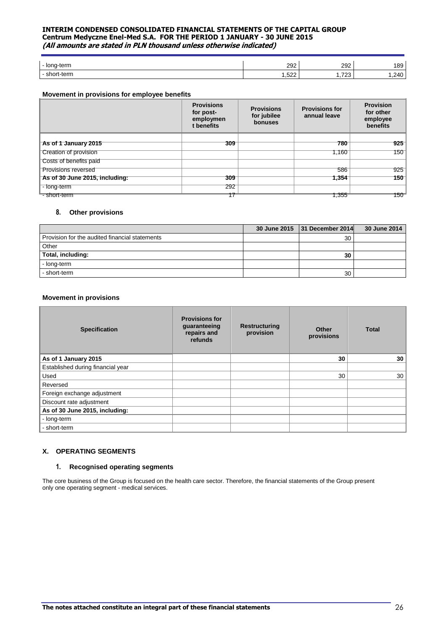| l - long-term | ാറാ<br>ے ت                | 292          | 189                                         |
|---------------|---------------------------|--------------|---------------------------------------------|
| $+ \alpha$ rm | $F^{\wedge}$<br>∽<br>ے ے. | 700<br>ن ∠ ن | $\lambda$<br>ຯບ<br>$\overline{\phantom{0}}$ |

# **Movement in provisions for employee benefits**

|                                | <b>Provisions</b><br>for post-<br>employmen<br>t benefits | <b>Provisions</b><br>for jubilee<br>bonuses | <b>Provisions for</b><br>annual leave | <b>Provision</b><br>for other<br>employee<br><b>benefits</b> |
|--------------------------------|-----------------------------------------------------------|---------------------------------------------|---------------------------------------|--------------------------------------------------------------|
| As of 1 January 2015           | 309                                                       |                                             | 780                                   | 925                                                          |
| <b>Creation of provision</b>   |                                                           |                                             | 1.160                                 | 150                                                          |
| Costs of benefits paid         |                                                           |                                             |                                       |                                                              |
| <b>Provisions reversed</b>     |                                                           |                                             | 586                                   | 925                                                          |
| As of 30 June 2015, including: | 309                                                       |                                             | 1,354                                 | 1501                                                         |
| - long-term                    | 292                                                       |                                             |                                       |                                                              |
| - short-term                   |                                                           |                                             | 1.355                                 | 150                                                          |

#### **8. Other provisions**

|                                                | 30 June 2015 31 December 2014 | 30 June 2014 |
|------------------------------------------------|-------------------------------|--------------|
| Provision for the audited financial statements | 30                            |              |
| Other                                          |                               |              |
| Total, including:                              | 30                            |              |
| - long-term                                    |                               |              |
| - short-term                                   | 30                            |              |

#### **Movement in provisions**

| <b>Specification</b>              | <b>Provisions for</b><br>guaranteeing<br>repairs and<br>refunds | <b>Restructuring</b><br>provision | <b>Other</b><br>provisions | <b>Total</b> |
|-----------------------------------|-----------------------------------------------------------------|-----------------------------------|----------------------------|--------------|
| As of 1 January 2015              |                                                                 |                                   | 30                         | 30           |
| Established during financial year |                                                                 |                                   |                            |              |
| Used                              |                                                                 |                                   | 30                         | 30           |
| Reversed                          |                                                                 |                                   |                            |              |
| Foreign exchange adjustment       |                                                                 |                                   |                            |              |
| Discount rate adjustment          |                                                                 |                                   |                            |              |
| As of 30 June 2015, including:    |                                                                 |                                   |                            |              |
| - long-term                       |                                                                 |                                   |                            |              |
| short-term                        |                                                                 |                                   |                            |              |

## **X. OPERATING SEGMENTS**

# **1. Recognised operating segments**

The core business of the Group is focused on the health care sector. Therefore, the financial statements of the Group present only one operating segment - medical services.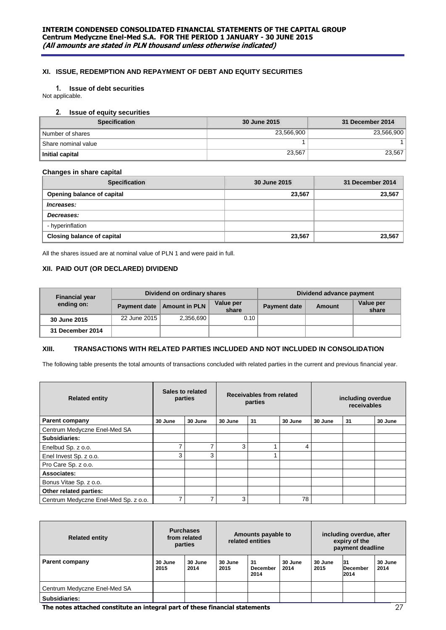# **XI. ISSUE, REDEMPTION AND REPAYMENT OF DEBT AND EQUITY SECURITIES**

# **1. Issue of debt securities**

Not applicable.

# **2. Issue of equity securities**

| <b>Specification</b> | <b>30 June 2015</b> | 31 December 2014 |
|----------------------|---------------------|------------------|
| Number of shares     | 23.566.900          | 23,566,900       |
| Share nominal value  |                     |                  |
| Initial capital      | 23,567              | 23.567           |

# **Changes in share capital**

| <b>Specification</b>              | 30 June 2015 | 31 December 2014 |
|-----------------------------------|--------------|------------------|
| Opening balance of capital        | 23,567       | 23,567           |
| Increases:                        |              |                  |
| Decreases:                        |              |                  |
| - hyperinflation                  |              |                  |
| <b>Closing balance of capital</b> | 23,567       | 23,567           |

All the shares issued are at nominal value of PLN 1 and were paid in full.

# **XII. PAID OUT (OR DECLARED) DIVIDEND**

| <b>Financial year</b> |              | Dividend on ordinary shares  |                    | Dividend advance payment |               |                    |  |
|-----------------------|--------------|------------------------------|--------------------|--------------------------|---------------|--------------------|--|
| ending on:            |              | Payment date   Amount in PLN | Value per<br>share | <b>Payment date</b>      | <b>Amount</b> | Value per<br>share |  |
| 30 June 2015          | 22 June 2015 | 2,356,690                    | 0.10               |                          |               |                    |  |
| 31 December 2014      |              |                              |                    |                          |               |                    |  |

# **XIII. TRANSACTIONS WITH RELATED PARTIES INCLUDED AND NOT INCLUDED IN CONSOLIDATION**

The following table presents the total amounts of transactions concluded with related parties in the current and previous financial year.

| <b>Related entity</b>                | Sales to related<br>parties |         |         | Receivables from related<br>parties |         | including overdue<br>receivables |    |         |
|--------------------------------------|-----------------------------|---------|---------|-------------------------------------|---------|----------------------------------|----|---------|
| <b>Parent company</b>                | 30 June                     | 30 June | 30 June | 31                                  | 30 June | 30 June                          | 31 | 30 June |
| Centrum Medyczne Enel-Med SA         |                             |         |         |                                     |         |                                  |    |         |
| <b>Subsidiaries:</b>                 |                             |         |         |                                     |         |                                  |    |         |
| Enelbud Sp. z o.o.                   | 7                           |         | 3       |                                     | 4       |                                  |    |         |
| Enel Invest Sp. z o.o.               | 3                           | 3       |         |                                     |         |                                  |    |         |
| Pro Care Sp. z o.o.                  |                             |         |         |                                     |         |                                  |    |         |
| Associates:                          |                             |         |         |                                     |         |                                  |    |         |
| Bonus Vitae Sp. z o.o.               |                             |         |         |                                     |         |                                  |    |         |
| Other related parties:               |                             |         |         |                                     |         |                                  |    |         |
| Centrum Medyczne Enel-Med Sp. z o.o. | ⇁                           |         | 3       |                                     | 78      |                                  |    |         |

| <b>Related entity</b>        | <b>Purchases</b><br>from related<br>parties |                 | Amounts payable to<br>related entities |                               |                 | including overdue, after<br>expiry of the<br>payment deadline |                        |                 |
|------------------------------|---------------------------------------------|-----------------|----------------------------------------|-------------------------------|-----------------|---------------------------------------------------------------|------------------------|-----------------|
| <b>Parent company</b>        | 30 June<br>2015                             | 30 June<br>2014 | 30 June<br>2015                        | 31<br><b>December</b><br>2014 | 30 June<br>2014 | 30 June<br>2015                                               | 31<br>December<br>2014 | 30 June<br>2014 |
| Centrum Medyczne Enel-Med SA |                                             |                 |                                        |                               |                 |                                                               |                        |                 |
| Subsidiaries:                |                                             |                 |                                        |                               |                 |                                                               |                        |                 |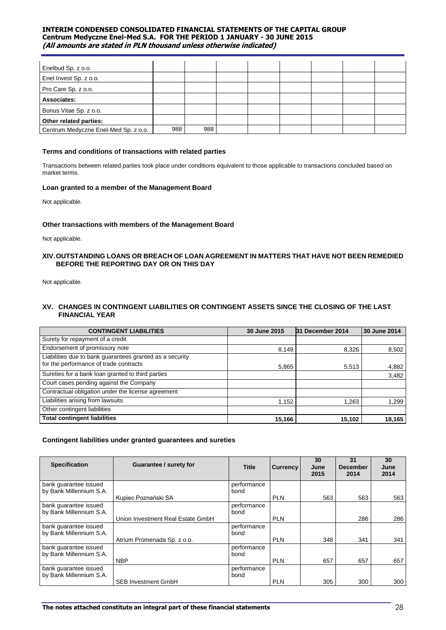| Enelbud Sp. z o.o.                   |     |     |  |  |  |
|--------------------------------------|-----|-----|--|--|--|
| Enel Invest Sp. z o.o.               |     |     |  |  |  |
| Pro Care Sp. z o.o.                  |     |     |  |  |  |
| Associates:                          |     |     |  |  |  |
| Bonus Vitae Sp. z o.o.               |     |     |  |  |  |
| Other related parties:               |     |     |  |  |  |
| Centrum Medyczne Enel-Med Sp. z o.o. | 988 | 988 |  |  |  |

## **Terms and conditions of transactions with related parties**

Transactions between related parties took place under conditions equivalent to those applicable to transactions concluded based on market terms.

# **Loan granted to a member of the Management Board**

Not applicable.

# **Other transactions with members of the Management Board**

Not applicable.

# **XIV.OUTSTANDING LOANS OR BREACH OF LOAN AGREEMENT IN MATTERS THAT HAVE NOT BEEN REMEDIED BEFORE THE REPORTING DAY OR ON THIS DAY**

Not applicable.

# **XV. CHANGES IN CONTINGENT LIABILITIES OR CONTINGENT ASSETS SINCE THE CLOSING OF THE LAST FINANCIAL YEAR**

| <b>CONTINGENT LIABILITIES</b>                                                                      | 30 June 2015 | 31 December 2014 | 30 June 2014 |
|----------------------------------------------------------------------------------------------------|--------------|------------------|--------------|
| Surety for repayment of a credit                                                                   |              |                  |              |
| Endorsement of promissory note                                                                     | 8,149        | 8,326            | 8,502        |
| Liabilities due to bank guarantees granted as a security<br>for the performance of trade contracts | 5,865        | 5,513            | 4,882        |
| Sureties for a bank loan granted to third parties                                                  |              |                  | 3,482        |
| Court cases pending against the Company                                                            |              |                  |              |
| Contractual obligation under the license agreement                                                 |              |                  |              |
| Liabilities arising from lawsuits                                                                  | 1.152        | 1.263            | 1.299        |
| Other contingent liabilities                                                                       |              |                  |              |
| <b>Total contingent liabilities</b>                                                                | 15,166       | 15,102           | 18,165       |

# **Contingent liabilities under granted guarantees and sureties**

| <b>Specification</b>    | Guarantee / surety for            | <b>Title</b> | Currency   | 30<br>June<br>2015 | 31<br><b>December</b><br>2014 | 30<br>June<br>2014 |
|-------------------------|-----------------------------------|--------------|------------|--------------------|-------------------------------|--------------------|
| bank quarantee issued   |                                   | performance  |            |                    |                               |                    |
| by Bank Millennium S.A. |                                   | bond         |            |                    |                               |                    |
|                         | Kupiec Poznański SA               |              | <b>PLN</b> | 563                | 563                           | 563                |
| bank quarantee issued   |                                   | performance  |            |                    |                               |                    |
| by Bank Millennium S.A. |                                   | bond         |            |                    |                               |                    |
|                         | Union Investment Real Estate GmbH |              | <b>PLN</b> |                    | 286                           | 286                |
| bank quarantee issued   |                                   | performance  |            |                    |                               |                    |
| by Bank Millennium S.A. |                                   | bond         |            |                    |                               |                    |
|                         | Atrium Promenada Sp. z o.o.       |              | <b>PLN</b> | 348                | 341                           | 341                |
| bank guarantee issued   |                                   | performance  |            |                    |                               |                    |
| by Bank Millennium S.A. |                                   | bond         |            |                    |                               |                    |
|                         | <b>NBP</b>                        |              | <b>PLN</b> | 657                | 657                           | 657                |
| bank guarantee issued   |                                   | performance  |            |                    |                               |                    |
| by Bank Millennium S.A. |                                   | bond         |            |                    |                               |                    |
|                         | <b>SEB Investment GmbH</b>        |              | <b>PLN</b> | 305                | 300                           | 300                |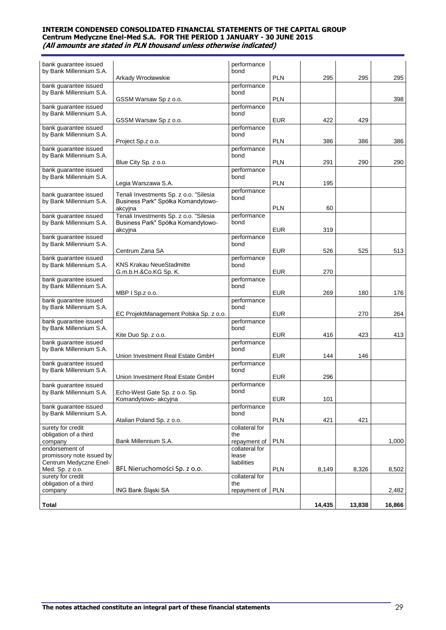| bank guarantee issued                            |                                                                              | performance                    |            |        |        |        |
|--------------------------------------------------|------------------------------------------------------------------------------|--------------------------------|------------|--------|--------|--------|
| by Bank Millennium S.A.                          |                                                                              | bond                           |            |        |        |        |
| bank guarantee issued                            | Arkady Wrocławskie                                                           | performance                    | <b>PLN</b> | 295    | 295    | 295    |
| by Bank Millennium S.A.                          |                                                                              | bond                           |            |        |        |        |
|                                                  | GSSM Warsaw Sp z o.o.                                                        |                                | <b>PLN</b> |        |        | 398    |
| bank guarantee issued                            |                                                                              | performance                    |            |        |        |        |
| by Bank Millennium S.A.                          |                                                                              | bond                           |            |        |        |        |
| bank guarantee issued                            | GSSM Warsaw Sp z o.o.                                                        | performance                    | <b>EUR</b> | 422    | 429    |        |
| by Bank Millennium S.A.                          |                                                                              | bond                           |            |        |        |        |
|                                                  | Project Sp.z o.o.                                                            |                                | <b>PLN</b> | 386    | 386    | 386    |
| bank guarantee issued                            |                                                                              | performance                    |            |        |        |        |
| by Bank Millennium S.A.                          |                                                                              | bond                           |            |        |        |        |
|                                                  | Blue City Sp. z o.o.                                                         |                                | <b>PLN</b> | 291    | 290    | 290    |
| bank guarantee issued<br>by Bank Millennium S.A. |                                                                              | performance<br>bond            |            |        |        |        |
|                                                  | Legia Warszawa S.A.                                                          |                                | <b>PLN</b> | 195    |        |        |
|                                                  |                                                                              | performance                    |            |        |        |        |
| bank guarantee issued<br>by Bank Millennium S.A. | Tenali Investments Sp. z o.o. "Silesia<br>Business Park" Spółka Komandytowo- | bond                           |            |        |        |        |
|                                                  | akcyjna                                                                      |                                | <b>PLN</b> | 60     |        |        |
| bank guarantee issued                            | Tenali Investments Sp. z o.o. "Silesia                                       | performance                    |            |        |        |        |
| by Bank Millennium S.A.                          | Business Park" Spółka Komandytowo-                                           | bond                           |            |        |        |        |
|                                                  | akcyjna                                                                      |                                | <b>EUR</b> | 319    |        |        |
| bank guarantee issued                            |                                                                              | performance                    |            |        |        |        |
| by Bank Millennium S.A.                          | Centrum Zana SA                                                              | bond                           | <b>EUR</b> | 526    |        | 513    |
| bank quarantee issued                            |                                                                              | performance                    |            |        | 525    |        |
| by Bank Millennium S.A.                          | <b>KNS Krakau NeueStadmitte</b>                                              | bond                           |            |        |        |        |
|                                                  | G.m.b.H.&Co.KG Sp. K.                                                        |                                | <b>EUR</b> | 270    |        |        |
| bank guarantee issued                            |                                                                              | performance                    |            |        |        |        |
| by Bank Millennium S.A.                          |                                                                              | bond                           |            |        |        |        |
|                                                  | MBP I Sp.z o.o.                                                              |                                | <b>EUR</b> | 269    | 180    | 176    |
| bank guarantee issued<br>by Bank Millennium S.A. |                                                                              | performance<br>bond            |            |        |        |        |
|                                                  | EC ProjektManagement Polska Sp. z o.o.                                       |                                | <b>EUR</b> |        | 270    | 264    |
| bank guarantee issued                            |                                                                              | performance                    |            |        |        |        |
| by Bank Millennium S.A.                          |                                                                              | bond                           |            |        |        |        |
|                                                  | Kite Duo Sp. z o.o.                                                          |                                | <b>EUR</b> | 416    | 423    | 413    |
| bank guarantee issued<br>by Bank Millennium S.A. |                                                                              | performance<br>bond            |            |        |        |        |
|                                                  | Union Investment Real Estate GmbH                                            |                                | <b>EUR</b> | 144    | 146    |        |
| bank guarantee issued                            |                                                                              | performance                    |            |        |        |        |
| by Bank Millennium S.A.                          |                                                                              | bond                           |            |        |        |        |
|                                                  | Union Investment Real Estate GmbH                                            |                                | <b>EUR</b> | 296    |        |        |
| bank guarantee issued                            |                                                                              | performance                    |            |        |        |        |
| by Bank Millennium S.A.                          | Echo-West Gate Sp. z o.o. Sp.<br>Komandytowo- akcyjna                        | bond                           | <b>EUR</b> | 101    |        |        |
| bank guarantee issued                            |                                                                              | performance                    |            |        |        |        |
| by Bank Millennium S.A.                          |                                                                              | bond                           |            |        |        |        |
|                                                  | Atalian Poland Sp. z o.o.                                                    |                                | <b>PLN</b> | 421    | 421    |        |
| surety for credit                                |                                                                              | collateral for                 |            |        |        |        |
| obligation of a third                            |                                                                              | the                            |            |        |        |        |
| company<br>endorsement of                        | Bank Millennium S.A.                                                         | repayment of<br>collateral for | <b>PLN</b> |        |        | 1,000  |
| promissory note issued by                        |                                                                              | lease                          |            |        |        |        |
| Centrum Medyczne Enel-                           |                                                                              | liabilities                    |            |        |        |        |
| Med. Sp. z o.o.                                  | BFL Nieruchomości Sp. z o.o.                                                 |                                | <b>PLN</b> | 8,149  | 8,326  | 8,502  |
| surety for credit                                |                                                                              | collateral for                 |            |        |        |        |
| obligation of a third                            | ING Bank Śląski SA                                                           | the                            |            |        |        |        |
| company                                          |                                                                              | repayment of                   | <b>PLN</b> |        |        | 2,482  |
| <b>Total</b>                                     |                                                                              |                                |            | 14,435 | 13,838 | 16,866 |
|                                                  |                                                                              |                                |            |        |        |        |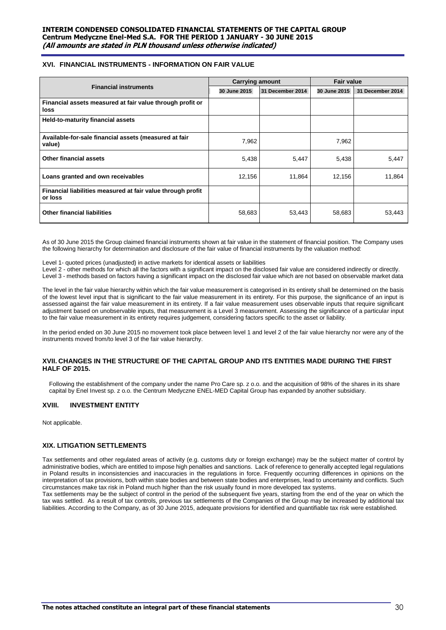# **XVI. FINANCIAL INSTRUMENTS - INFORMATION ON FAIR VALUE**

|                                                                        | <b>Carrying amount</b> |                  | <b>Fair value</b> |                  |  |
|------------------------------------------------------------------------|------------------------|------------------|-------------------|------------------|--|
| <b>Financial instruments</b>                                           | 30 June 2015           | 31 December 2014 | 30 June 2015      | 31 December 2014 |  |
| Financial assets measured at fair value through profit or<br>loss      |                        |                  |                   |                  |  |
| Held-to-maturity financial assets                                      |                        |                  |                   |                  |  |
| Available-for-sale financial assets (measured at fair<br>value)        | 7,962                  |                  | 7,962             |                  |  |
| Other financial assets                                                 | 5,438                  | 5,447            | 5,438             | 5,447            |  |
| Loans granted and own receivables                                      | 12,156                 | 11,864           | 12,156            | 11,864           |  |
| Financial liabilities measured at fair value through profit<br>or loss |                        |                  |                   |                  |  |
| <b>Other financial liabilities</b>                                     | 58,683                 | 53,443           | 58,683            | 53,443           |  |

As of 30 June 2015 the Group claimed financial instruments shown at fair value in the statement of financial position. The Company uses the following hierarchy for determination and disclosure of the fair value of financial instruments by the valuation method:

Level 1- quoted prices (unadjusted) in active markets for identical assets or liabilities

Level 2 - other methods for which all the factors with a significant impact on the disclosed fair value are considered indirectly or directly. Level 3 - methods based on factors having a significant impact on the disclosed fair value which are not based on observable market data

The level in the fair value hierarchy within which the fair value measurement is categorised in its entirety shall be determined on the basis of the lowest level input that is significant to the fair value measurement in its entirety. For this purpose, the significance of an input is assessed against the fair value measurement in its entirety. If a fair value measurement uses observable inputs that require significant adjustment based on unobservable inputs, that measurement is a Level 3 measurement. Assessing the significance of a particular input to the fair value measurement in its entirety requires judgement, considering factors specific to the asset or liability.

In the period ended on 30 June 2015 no movement took place between level 1 and level 2 of the fair value hierarchy nor were any of the instruments moved from/to level 3 of the fair value hierarchy.

#### **XVII. CHANGES IN THE STRUCTURE OF THE CAPITAL GROUP AND ITS ENTITIES MADE DURING THE FIRST HALF OF 2015.**

Following the establishment of the company under the name Pro Care sp. z o.o. and the acquisition of 98% of the shares in its share capital by Enel Invest sp. z o.o. the Centrum Medyczne ENEL-MED Capital Group has expanded by another subsidiary.

# **XVIII. INVESTMENT ENTITY**

Not applicable.

# **XIX. LITIGATION SETTLEMENTS**

Tax settlements and other regulated areas of activity (e.g. customs duty or foreign exchange) may be the subject matter of control by administrative bodies, which are entitled to impose high penalties and sanctions. Lack of reference to generally accepted legal regulations in Poland results in inconsistencies and inaccuracies in the regulations in force. Frequently occurring differences in opinions on the interpretation of tax provisions, both within state bodies and between state bodies and enterprises, lead to uncertainty and conflicts. Such circumstances make tax risk in Poland much higher than the risk usually found in more developed tax systems.

Tax settlements may be the subject of control in the period of the subsequent five years, starting from the end of the year on which the tax was settled. As a result of tax controls, previous tax settlements of the Companies of the Group may be increased by additional tax liabilities. According to the Company, as of 30 June 2015, adequate provisions for identified and quantifiable tax risk were established.